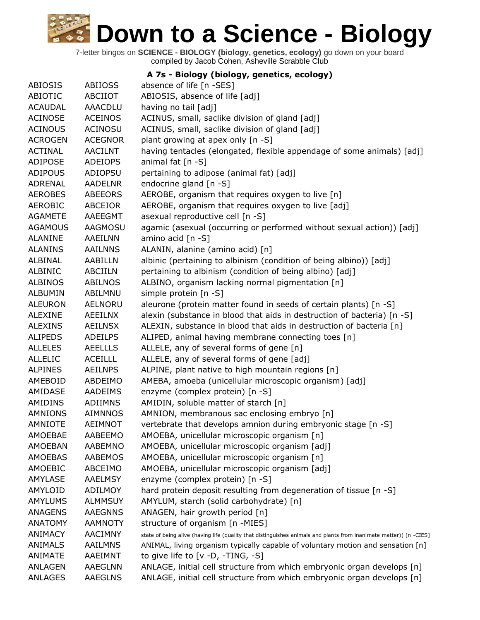7-letter bingos on **SCIENCE - BIOLOGY (biology, genetics, ecology)** go down on your board compiled by Jacob Cohen, Asheville Scrabble Club

**A 7s - Biology (biology, genetics, ecology)**

| ABIOSIS        | <b>ABIIOSS</b> | absence of life [n -SES]                                                                                           |
|----------------|----------------|--------------------------------------------------------------------------------------------------------------------|
| ABIOTIC        | ABCIIOT        | ABIOSIS, absence of life [adj]                                                                                     |
| <b>ACAUDAL</b> | <b>AAACDLU</b> | having no tail [adj]                                                                                               |
| <b>ACINOSE</b> | <b>ACEINOS</b> | ACINUS, small, saclike division of gland [adj]                                                                     |
| <b>ACINOUS</b> | <b>ACINOSU</b> | ACINUS, small, saclike division of gland [adj]                                                                     |
| <b>ACROGEN</b> | <b>ACEGNOR</b> | plant growing at apex only [n -S]                                                                                  |
| <b>ACTINAL</b> | <b>AACILNT</b> | having tentacles (elongated, flexible appendage of some animals) [adj]                                             |
| <b>ADIPOSE</b> | <b>ADEIOPS</b> | animal fat [n -S]                                                                                                  |
| <b>ADIPOUS</b> | ADIOPSU        | pertaining to adipose (animal fat) [adj]                                                                           |
| ADRENAL        | <b>AADELNR</b> | endocrine gland [n -S]                                                                                             |
| <b>AEROBES</b> | <b>ABEEORS</b> | AEROBE, organism that requires oxygen to live [n]                                                                  |
| <b>AEROBIC</b> | ABCEIOR        | AEROBE, organism that requires oxygen to live [adj]                                                                |
| <b>AGAMETE</b> | AAEEGMT        | asexual reproductive cell [n -S]                                                                                   |
| <b>AGAMOUS</b> | <b>AAGMOSU</b> | agamic (asexual (occurring or performed without sexual action)) [adj]                                              |
| <b>ALANINE</b> | AAEILNN        | amino acid [n -S]                                                                                                  |
| <b>ALANINS</b> | <b>AAILNNS</b> | ALANIN, alanine (amino acid) [n]                                                                                   |
| ALBINAL        | AABILLN        | albinic (pertaining to albinism (condition of being albino)) [adj]                                                 |
| ALBINIC        | ABCIILN        | pertaining to albinism (condition of being albino) [adj]                                                           |
| <b>ALBINOS</b> | <b>ABILNOS</b> | ALBINO, organism lacking normal pigmentation [n]                                                                   |
| <b>ALBUMIN</b> | ABILMNU        | simple protein [n -S]                                                                                              |
| <b>ALEURON</b> | <b>AELNORU</b> | aleurone (protein matter found in seeds of certain plants) [n -S]                                                  |
| <b>ALEXINE</b> | <b>AEEILNX</b> | alexin (substance in blood that aids in destruction of bacteria) [n -S]                                            |
| <b>ALEXINS</b> | <b>AEILNSX</b> | ALEXIN, substance in blood that aids in destruction of bacteria [n]                                                |
| <b>ALIPEDS</b> | <b>ADEILPS</b> | ALIPED, animal having membrane connecting toes [n]                                                                 |
| <b>ALLELES</b> | <b>AEELLLS</b> | ALLELE, any of several forms of gene [n]                                                                           |
| <b>ALLELIC</b> | <b>ACEILLL</b> | ALLELE, any of several forms of gene [adj]                                                                         |
| <b>ALPINES</b> | <b>AEILNPS</b> | ALPINE, plant native to high mountain regions [n]                                                                  |
| AMEBOID        | ABDEIMO        | AMEBA, amoeba (unicellular microscopic organism) [adj]                                                             |
| AMIDASE        | AADEIMS        | enzyme (complex protein) [n -S]                                                                                    |
| AMIDINS        | <b>ADIIMNS</b> | AMIDIN, soluble matter of starch [n]                                                                               |
| <b>AMNIONS</b> | <b>AIMNNOS</b> | AMNION, membranous sac enclosing embryo [n]                                                                        |
| <b>AMNIOTE</b> | <b>AEIMNOT</b> | vertebrate that develops amnion during embryonic stage [n -S]                                                      |
| AMOEBAE        | AABEEMO        | AMOEBA, unicellular microscopic organism [n]                                                                       |
| <b>AMOEBAN</b> | AABEMNO        | AMOEBA, unicellular microscopic organism [adj]                                                                     |
| <b>AMOEBAS</b> | <b>AABEMOS</b> | AMOEBA, unicellular microscopic organism [n]                                                                       |
| AMOEBIC        | ABCEIMO        | AMOEBA, unicellular microscopic organism [adj]                                                                     |
| <b>AMYLASE</b> | <b>AAELMSY</b> | enzyme (complex protein) [n -S]                                                                                    |
| AMYLOID        | <b>ADILMOY</b> | hard protein deposit resulting from degeneration of tissue [n -S]                                                  |
| <b>AMYLUMS</b> | <b>ALMMSUY</b> | AMYLUM, starch (solid carbohydrate) [n]                                                                            |
| <b>ANAGENS</b> | <b>AAEGNNS</b> |                                                                                                                    |
|                |                | ANAGEN, hair growth period [n]                                                                                     |
| <b>ANATOMY</b> | <b>AAMNOTY</b> | structure of organism [n -MIES]                                                                                    |
| <b>ANIMACY</b> | <b>AACIMNY</b> | state of being alive (having life (quality that distinguishes animals and plants from inanimate matter)) [n -CIES] |
| <b>ANIMALS</b> | <b>AAILMNS</b> | ANIMAL, living organism typically capable of voluntary motion and sensation [n]                                    |
| <b>ANIMATE</b> | AAEIMNT        | to give life to $[v -D, -TING, -S]$                                                                                |
| <b>ANLAGEN</b> | <b>AAEGLNN</b> | ANLAGE, initial cell structure from which embryonic organ develops [n]                                             |
| <b>ANLAGES</b> | <b>AAEGLNS</b> | ANLAGE, initial cell structure from which embryonic organ develops [n]                                             |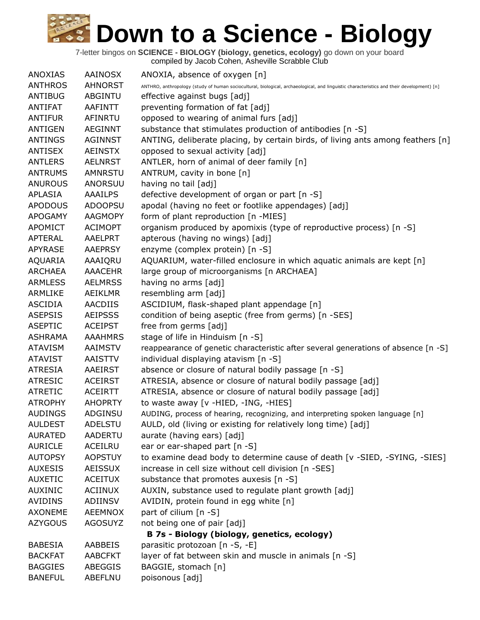| <b>ANOXIAS</b> | <b>AAINOSX</b> | ANOXIA, absence of oxygen [n]                                                                                                             |
|----------------|----------------|-------------------------------------------------------------------------------------------------------------------------------------------|
| <b>ANTHROS</b> | <b>AHNORST</b> | ANTHRO, anthropology (study of human sociocultural, biological, archaeological, and linguistic characteristics and their development) [n] |
| <b>ANTIBUG</b> | ABGINTU        | effective against bugs [adj]                                                                                                              |
| <b>ANTIFAT</b> | AAFINTT        | preventing formation of fat [adj]                                                                                                         |
| <b>ANTIFUR</b> | AFINRTU        | opposed to wearing of animal furs [adj]                                                                                                   |
| <b>ANTIGEN</b> | <b>AEGINNT</b> | substance that stimulates production of antibodies [n -S]                                                                                 |
| <b>ANTINGS</b> | <b>AGINNST</b> | ANTING, deliberate placing, by certain birds, of living ants among feathers [n]                                                           |
| <b>ANTISEX</b> | <b>AEINSTX</b> | opposed to sexual activity [adj]                                                                                                          |
| <b>ANTLERS</b> | <b>AELNRST</b> | ANTLER, horn of animal of deer family [n]                                                                                                 |
| <b>ANTRUMS</b> | <b>AMNRSTU</b> | ANTRUM, cavity in bone [n]                                                                                                                |
| <b>ANUROUS</b> | ANORSUU        | having no tail [adj]                                                                                                                      |
| APLASIA        | <b>AAAILPS</b> | defective development of organ or part [n -S]                                                                                             |
| <b>APODOUS</b> | <b>ADOOPSU</b> | apodal (having no feet or footlike appendages) [adj]                                                                                      |
| <b>APOGAMY</b> | <b>AAGMOPY</b> | form of plant reproduction [n -MIES]                                                                                                      |
| <b>APOMICT</b> | <b>ACIMOPT</b> | organism produced by apomixis (type of reproductive process) [n -S]                                                                       |
| <b>APTERAL</b> | AAELPRT        | apterous (having no wings) [adj]                                                                                                          |
| <b>APYRASE</b> | <b>AAEPRSY</b> | enzyme (complex protein) [n -S]                                                                                                           |
| AQUARIA        | AAAIQRU        | AQUARIUM, water-filled enclosure in which aquatic animals are kept [n]                                                                    |
| <b>ARCHAEA</b> | <b>AAACEHR</b> | large group of microorganisms [n ARCHAEA]                                                                                                 |
| <b>ARMLESS</b> | <b>AELMRSS</b> | having no arms [adj]                                                                                                                      |
| ARMLIKE        | AEIKLMR        | resembling arm [adj]                                                                                                                      |
| <b>ASCIDIA</b> | <b>AACDIIS</b> | ASCIDIUM, flask-shaped plant appendage [n]                                                                                                |
| <b>ASEPSIS</b> | <b>AEIPSSS</b> | condition of being aseptic (free from germs) [n -SES]                                                                                     |
| <b>ASEPTIC</b> | <b>ACEIPST</b> | free from germs [adj]                                                                                                                     |
| <b>ASHRAMA</b> | <b>AAAHMRS</b> | stage of life in Hinduism [n -S]                                                                                                          |
| <b>ATAVISM</b> | <b>AAIMSTV</b> | reappearance of genetic characteristic after several generations of absence [n -S]                                                        |
| <b>ATAVIST</b> | AAISTTV        | individual displaying atavism [n -S]                                                                                                      |
| <b>ATRESIA</b> | <b>AAEIRST</b> | absence or closure of natural bodily passage [n -S]                                                                                       |
| <b>ATRESIC</b> | <b>ACEIRST</b> | ATRESIA, absence or closure of natural bodily passage [adj]                                                                               |
| <b>ATRETIC</b> | <b>ACEIRTT</b> | ATRESIA, absence or closure of natural bodily passage [adj]                                                                               |
| <b>ATROPHY</b> | <b>AHOPRTY</b> | to waste away [v -HIED, -ING, -HIES]                                                                                                      |
| <b>AUDINGS</b> | ADGINSU        | AUDING, process of hearing, recognizing, and interpreting spoken language [n]                                                             |
| <b>AULDEST</b> | <b>ADELSTU</b> | AULD, old (living or existing for relatively long time) [adj]                                                                             |
| <b>AURATED</b> | AADERTU        | aurate (having ears) [adj]                                                                                                                |
|                | <b>ACEILRU</b> | ear or ear-shaped part [n -S]                                                                                                             |
| <b>AURICLE</b> |                |                                                                                                                                           |
| <b>AUTOPSY</b> | <b>AOPSTUY</b> | to examine dead body to determine cause of death [v -SIED, -SYING, -SIES]                                                                 |
| <b>AUXESIS</b> | <b>AEISSUX</b> | increase in cell size without cell division [n -SES]                                                                                      |
| <b>AUXETIC</b> | <b>ACEITUX</b> | substance that promotes auxesis [n -S]                                                                                                    |
| <b>AUXINIC</b> | <b>ACIINUX</b> | AUXIN, substance used to regulate plant growth [adj]                                                                                      |
| <b>AVIDINS</b> | ADIINSV        | AVIDIN, protein found in egg white [n]                                                                                                    |
| <b>AXONEME</b> | <b>AEEMNOX</b> | part of cilium [n -S]                                                                                                                     |
| <b>AZYGOUS</b> | <b>AGOSUYZ</b> | not being one of pair [adj]                                                                                                               |
|                |                | B 7s - Biology (biology, genetics, ecology)                                                                                               |
| <b>BABESIA</b> | AABBEIS        | parasitic protozoan [n -S, -E]                                                                                                            |
| <b>BACKFAT</b> | <b>AABCFKT</b> | layer of fat between skin and muscle in animals [n -S]                                                                                    |
| <b>BAGGIES</b> | ABEGGIS        | BAGGIE, stomach [n]                                                                                                                       |
| <b>BANEFUL</b> | ABEFLNU        | poisonous [adj]                                                                                                                           |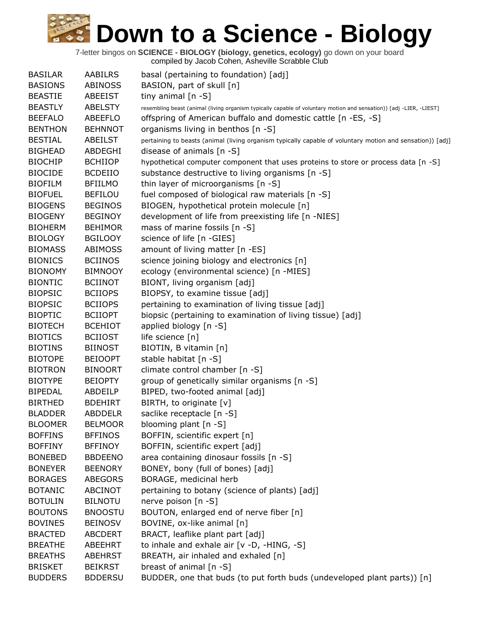| <b>BASILAR</b> | <b>AABILRS</b> | basal (pertaining to foundation) [adj]                                                                              |
|----------------|----------------|---------------------------------------------------------------------------------------------------------------------|
| <b>BASIONS</b> | <b>ABINOSS</b> | BASION, part of skull [n]                                                                                           |
| <b>BEASTIE</b> | ABEEIST        | tiny animal [n -S]                                                                                                  |
| <b>BEASTLY</b> | <b>ABELSTY</b> | resembling beast (animal (living organism typically capable of voluntary motion and sensation)) [adj -LIER, -LIEST] |
| <b>BEEFALO</b> | ABEEFLO        | offspring of American buffalo and domestic cattle [n -ES, -S]                                                       |
| <b>BENTHON</b> | <b>BEHNNOT</b> | organisms living in benthos [n -S]                                                                                  |
| <b>BESTIAL</b> | ABEILST        | pertaining to beasts (animal (living organism typically capable of voluntary motion and sensation)) [adj]           |
| <b>BIGHEAD</b> | ABDEGHI        | disease of animals [n -S]                                                                                           |
| <b>BIOCHIP</b> | <b>BCHIIOP</b> | hypothetical computer component that uses proteins to store or process data [n -S]                                  |
| <b>BIOCIDE</b> | <b>BCDEIIO</b> | substance destructive to living organisms [n -S]                                                                    |
| <b>BIOFILM</b> | <b>BFIILMO</b> | thin layer of microorganisms [n -S]                                                                                 |
| <b>BIOFUEL</b> | <b>BEFILOU</b> | fuel composed of biological raw materials [n -S]                                                                    |
| <b>BIOGENS</b> | <b>BEGINOS</b> | BIOGEN, hypothetical protein molecule [n]                                                                           |
| <b>BIOGENY</b> | <b>BEGINOY</b> | development of life from preexisting life [n -NIES]                                                                 |
| <b>BIOHERM</b> | <b>BEHIMOR</b> | mass of marine fossils [n -S]                                                                                       |
| <b>BIOLOGY</b> | <b>BGILOOY</b> | science of life [n -GIES]                                                                                           |
| <b>BIOMASS</b> | <b>ABIMOSS</b> | amount of living matter [n -ES]                                                                                     |
| <b>BIONICS</b> | <b>BCIINOS</b> | science joining biology and electronics [n]                                                                         |
| <b>BIONOMY</b> | <b>BIMNOOY</b> | ecology (environmental science) [n -MIES]                                                                           |
| <b>BIONTIC</b> | <b>BCIINOT</b> | BIONT, living organism [adj]                                                                                        |
| <b>BIOPSIC</b> | <b>BCIIOPS</b> | BIOPSY, to examine tissue [adj]                                                                                     |
| <b>BIOPSIC</b> | <b>BCIIOPS</b> | pertaining to examination of living tissue [adj]                                                                    |
| <b>BIOPTIC</b> | <b>BCIIOPT</b> | biopsic (pertaining to examination of living tissue) [adj]                                                          |
| <b>BIOTECH</b> | <b>BCEHIOT</b> | applied biology [n -S]                                                                                              |
| <b>BIOTICS</b> | <b>BCIIOST</b> | life science $[n]$                                                                                                  |
| <b>BIOTINS</b> | <b>BIINOST</b> | BIOTIN, B vitamin [n]                                                                                               |
| <b>BIOTOPE</b> | <b>BEIOOPT</b> | stable habitat [n -S]                                                                                               |
| <b>BIOTRON</b> | <b>BINOORT</b> | climate control chamber [n -S]                                                                                      |
| <b>BIOTYPE</b> | <b>BEIOPTY</b> | group of genetically similar organisms [n -S]                                                                       |
| <b>BIPEDAL</b> | ABDEILP        | BIPED, two-footed animal [adj]                                                                                      |
| <b>BIRTHED</b> | <b>BDEHIRT</b> | BIRTH, to originate [v]                                                                                             |
| <b>BLADDER</b> | <b>ABDDELR</b> | saclike receptacle [n -S]                                                                                           |
| <b>BLOOMER</b> | <b>BELMOOR</b> | blooming plant [n -S]                                                                                               |
| <b>BOFFINS</b> | <b>BFFINOS</b> | BOFFIN, scientific expert [n]                                                                                       |
| <b>BOFFINY</b> | <b>BFFINOY</b> | BOFFIN, scientific expert [adj]                                                                                     |
| <b>BONEBED</b> | <b>BBDEENO</b> | area containing dinosaur fossils [n -S]                                                                             |
| <b>BONEYER</b> | <b>BEENORY</b> | BONEY, bony (full of bones) [adj]                                                                                   |
| <b>BORAGES</b> | <b>ABEGORS</b> | BORAGE, medicinal herb                                                                                              |
| <b>BOTANIC</b> | ABCINOT        | pertaining to botany (science of plants) [adj]                                                                      |
| <b>BOTULIN</b> | <b>BILNOTU</b> | nerve poison [n -S]                                                                                                 |
| <b>BOUTONS</b> | <b>BNOOSTU</b> | BOUTON, enlarged end of nerve fiber [n]                                                                             |
| <b>BOVINES</b> | <b>BEINOSV</b> | BOVINE, ox-like animal [n]                                                                                          |
| <b>BRACTED</b> | <b>ABCDERT</b> | BRACT, leaflike plant part [adj]                                                                                    |
| <b>BREATHE</b> | ABEEHRT        | to inhale and exhale air [v -D, -HING, -S]                                                                          |
| <b>BREATHS</b> | <b>ABEHRST</b> | BREATH, air inhaled and exhaled [n]                                                                                 |
| <b>BRISKET</b> | <b>BEIKRST</b> | breast of animal [n -S]                                                                                             |
| <b>BUDDERS</b> | <b>BDDERSU</b> | BUDDER, one that buds (to put forth buds (undeveloped plant parts)) [n]                                             |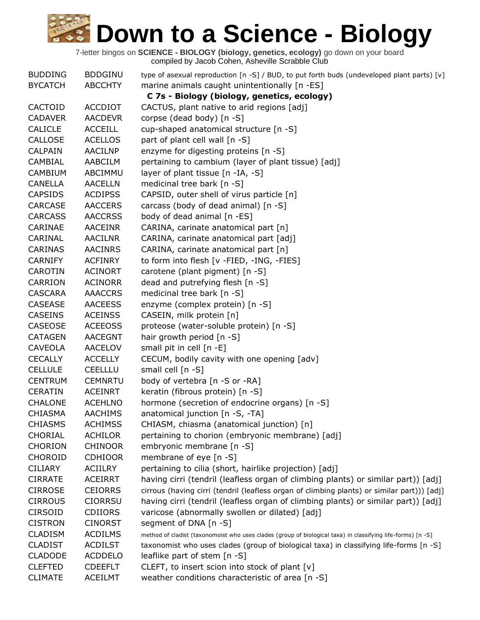| <b>BUDDING</b> | <b>BDDGINU</b> | type of asexual reproduction [n -S] / BUD, to put forth buds (undeveloped plant parts) [v]                  |
|----------------|----------------|-------------------------------------------------------------------------------------------------------------|
| <b>BYCATCH</b> | <b>ABCCHTY</b> | marine animals caught unintentionally [n -ES]                                                               |
|                |                | C 7s - Biology (biology, genetics, ecology)                                                                 |
| CACTOID        | <b>ACCDIOT</b> | CACTUS, plant native to arid regions [adj]                                                                  |
| <b>CADAVER</b> | <b>AACDEVR</b> | corpse (dead body) [n -S]                                                                                   |
| <b>CALICLE</b> | <b>ACCEILL</b> | cup-shaped anatomical structure [n -S]                                                                      |
| CALLOSE        | <b>ACELLOS</b> | part of plant cell wall [n -S]                                                                              |
| CALPAIN        | AACILNP        | enzyme for digesting proteins [n -S]                                                                        |
| CAMBIAL        | AABCILM        | pertaining to cambium (layer of plant tissue) [adj]                                                         |
| <b>CAMBIUM</b> | ABCIMMU        | layer of plant tissue [n -IA, -S]                                                                           |
| <b>CANELLA</b> | <b>AACELLN</b> | medicinal tree bark [n -S]                                                                                  |
| <b>CAPSIDS</b> | <b>ACDIPSS</b> | CAPSID, outer shell of virus particle [n]                                                                   |
| CARCASE        | <b>AACCERS</b> | carcass (body of dead animal) [n -S]                                                                        |
| <b>CARCASS</b> | <b>AACCRSS</b> | body of dead animal [n -ES]                                                                                 |
| CARINAE        | <b>AACEINR</b> | CARINA, carinate anatomical part [n]                                                                        |
| CARINAL        | <b>AACILNR</b> | CARINA, carinate anatomical part [adj]                                                                      |
| CARINAS        | <b>AACINRS</b> | CARINA, carinate anatomical part [n]                                                                        |
| <b>CARNIFY</b> | <b>ACFINRY</b> | to form into flesh [v -FIED, -ING, -FIES]                                                                   |
| CAROTIN        | <b>ACINORT</b> | carotene (plant pigment) [n -S]                                                                             |
| <b>CARRION</b> | <b>ACINORR</b> | dead and putrefying flesh [n -S]                                                                            |
| <b>CASCARA</b> | <b>AAACCRS</b> | medicinal tree bark [n -S]                                                                                  |
| CASEASE        | <b>AACEESS</b> | enzyme (complex protein) [n -S]                                                                             |
| <b>CASEINS</b> | <b>ACEINSS</b> | CASEIN, milk protein [n]                                                                                    |
| CASEOSE        | <b>ACEEOSS</b> | proteose (water-soluble protein) [n -S]                                                                     |
| <b>CATAGEN</b> | <b>AACEGNT</b> | hair growth period $[n - S]$                                                                                |
| <b>CAVEOLA</b> | <b>AACELOV</b> | small pit in cell [n -E]                                                                                    |
| <b>CECALLY</b> | <b>ACCELLY</b> | CECUM, bodily cavity with one opening [adv]                                                                 |
| <b>CELLULE</b> | <b>CEELLLU</b> | small cell [n -S]                                                                                           |
| <b>CENTRUM</b> | <b>CEMNRTU</b> | body of vertebra [n -S or -RA]                                                                              |
| <b>CERATIN</b> | <b>ACEINRT</b> | keratin (fibrous protein) [n -S]                                                                            |
| <b>CHALONE</b> | <b>ACEHLNO</b> | hormone (secretion of endocrine organs) [n -S]                                                              |
| <b>CHIASMA</b> | <b>AACHIMS</b> | anatomical junction [n -S, -TA]                                                                             |
| <b>CHIASMS</b> | <b>ACHIMSS</b> | CHIASM, chiasma (anatomical junction) [n]                                                                   |
| <b>CHORIAL</b> | <b>ACHILOR</b> | pertaining to chorion (embryonic membrane) [adj]                                                            |
| <b>CHORION</b> | <b>CHINOOR</b> | embryonic membrane [n -S]                                                                                   |
| <b>CHOROID</b> | <b>CDHIOOR</b> | membrane of eye $[n - S]$                                                                                   |
| <b>CILIARY</b> | <b>ACIILRY</b> | pertaining to cilia (short, hairlike projection) [adj]                                                      |
| <b>CIRRATE</b> | <b>ACEIRRT</b> | having cirri (tendril (leafless organ of climbing plants) or similar part)) [adj]                           |
| <b>CIRROSE</b> | <b>CEIORRS</b> | cirrous (having cirri (tendril (leafless organ of climbing plants) or similar part))) [adj]                 |
| <b>CIRROUS</b> | <b>CIORRSU</b> | having cirri (tendril (leafless organ of climbing plants) or similar part)) [adj]                           |
| <b>CIRSOID</b> | <b>CDIIORS</b> | varicose (abnormally swollen or dilated) [adj]                                                              |
| <b>CISTRON</b> | <b>CINORST</b> | segment of DNA [n -S]                                                                                       |
| <b>CLADISM</b> | <b>ACDILMS</b> | method of cladist (taxonomoist who uses clades (group of biological taxa) in classifying life-forms) [n -S] |
| <b>CLADIST</b> | <b>ACDILST</b> | taxonomist who uses clades (group of biological taxa) in classifying life-forms [n -S]                      |
| <b>CLADODE</b> | <b>ACDDELO</b> | leaflike part of stem [n -S]                                                                                |
| <b>CLEFTED</b> | <b>CDEEFLT</b> | CLEFT, to insert scion into stock of plant [v]                                                              |
| <b>CLIMATE</b> | <b>ACEILMT</b> | weather conditions characteristic of area [n -S]                                                            |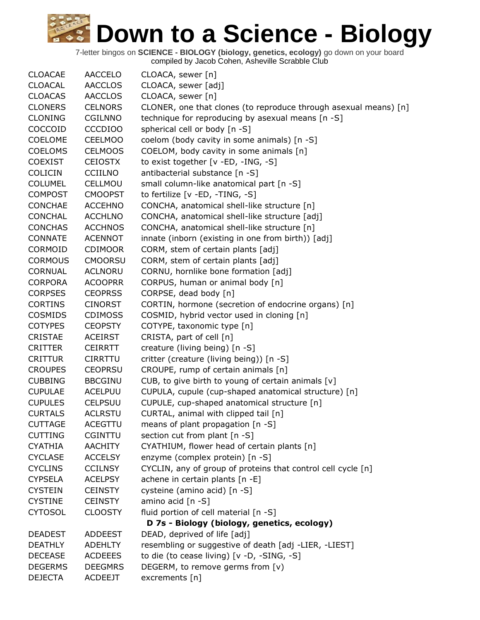| <b>CLOACAE</b> | <b>AACCELO</b> | CLOACA, sewer [n]                                                |
|----------------|----------------|------------------------------------------------------------------|
| <b>CLOACAL</b> | <b>AACCLOS</b> | CLOACA, sewer [adj]                                              |
| <b>CLOACAS</b> | <b>AACCLOS</b> | CLOACA, sewer [n]                                                |
| <b>CLONERS</b> | <b>CELNORS</b> | CLONER, one that clones (to reproduce through asexual means) [n] |
| <b>CLONING</b> | <b>CGILNNO</b> | technique for reproducing by asexual means [n -S]                |
| COCCOID        | <b>CCCDIOO</b> | spherical cell or body [n -S]                                    |
| COELOME        | <b>CEELMOO</b> | coelom (body cavity in some animals) [n -S]                      |
| <b>COELOMS</b> | <b>CELMOOS</b> | COELOM, body cavity in some animals [n]                          |
| <b>COEXIST</b> | <b>CEIOSTX</b> | to exist together [v -ED, -ING, -S]                              |
| <b>COLICIN</b> | <b>CCIILNO</b> | antibacterial substance [n -S]                                   |
| <b>COLUMEL</b> | CELLMOU        | small column-like anatomical part [n -S]                         |
| <b>COMPOST</b> | <b>CMOOPST</b> | to fertilize [v -ED, -TING, -S]                                  |
| <b>CONCHAE</b> | <b>ACCEHNO</b> | CONCHA, anatomical shell-like structure [n]                      |
| <b>CONCHAL</b> | <b>ACCHLNO</b> | CONCHA, anatomical shell-like structure [adj]                    |
| <b>CONCHAS</b> | <b>ACCHNOS</b> | CONCHA, anatomical shell-like structure [n]                      |
| CONNATE        | <b>ACENNOT</b> | innate (inborn (existing in one from birth)) [adj]               |
| CORMOID        | <b>CDIMOOR</b> | CORM, stem of certain plants [adj]                               |
| <b>CORMOUS</b> | <b>CMOORSU</b> | CORM, stem of certain plants [adj]                               |
| <b>CORNUAL</b> | <b>ACLNORU</b> | CORNU, hornlike bone formation [adj]                             |
| <b>CORPORA</b> | <b>ACOOPRR</b> | CORPUS, human or animal body [n]                                 |
| <b>CORPSES</b> | <b>CEOPRSS</b> | CORPSE, dead body [n]                                            |
| <b>CORTINS</b> | <b>CINORST</b> | CORTIN, hormone (secretion of endocrine organs) [n]              |
| <b>COSMIDS</b> | <b>CDIMOSS</b> | COSMID, hybrid vector used in cloning [n]                        |
| <b>COTYPES</b> | <b>CEOPSTY</b> | COTYPE, taxonomic type [n]                                       |
| <b>CRISTAE</b> | <b>ACEIRST</b> | CRISTA, part of cell [n]                                         |
| <b>CRITTER</b> | <b>CEIRRTT</b> | creature (living being) [n -S]                                   |
| <b>CRITTUR</b> | <b>CIRRTTU</b> | critter (creature (living being)) [n -S]                         |
| <b>CROUPES</b> | <b>CEOPRSU</b> | CROUPE, rump of certain animals [n]                              |
| <b>CUBBING</b> | <b>BBCGINU</b> | CUB, to give birth to young of certain animals $[v]$             |
| <b>CUPULAE</b> | <b>ACELPUU</b> | CUPULA, cupule (cup-shaped anatomical structure) [n]             |
| <b>CUPULES</b> | <b>CELPSUU</b> | CUPULE, cup-shaped anatomical structure [n]                      |
| <b>CURTALS</b> | <b>ACLRSTU</b> | CURTAL, animal with clipped tail [n]                             |
| <b>CUTTAGE</b> | ACEGTTU        | means of plant propagation [n -S]                                |
| <b>CUTTING</b> | <b>CGINTTU</b> | section cut from plant [n -S]                                    |
| <b>CYATHIA</b> | <b>AACHITY</b> | CYATHIUM, flower head of certain plants [n]                      |
| <b>CYCLASE</b> | <b>ACCELSY</b> | enzyme (complex protein) [n -S]                                  |
| <b>CYCLINS</b> | <b>CCILNSY</b> | CYCLIN, any of group of proteins that control cell cycle [n]     |
| <b>CYPSELA</b> | <b>ACELPSY</b> | achene in certain plants [n -E]                                  |
| <b>CYSTEIN</b> | <b>CEINSTY</b> | cysteine (amino acid) [n -S]                                     |
| <b>CYSTINE</b> | <b>CEINSTY</b> | amino acid [n -S]                                                |
| <b>CYTOSOL</b> | <b>CLOOSTY</b> | fluid portion of cell material [n -S]                            |
|                |                | D 7s - Biology (biology, genetics, ecology)                      |
| <b>DEADEST</b> | <b>ADDEEST</b> | DEAD, deprived of life [adj]                                     |
| <b>DEATHLY</b> | <b>ADEHLTY</b> | resembling or suggestive of death [adj -LIER, -LIEST]            |
| <b>DECEASE</b> | <b>ACDEEES</b> | to die (to cease living) [v -D, -SING, -S]                       |
| <b>DEGERMS</b> | <b>DEEGMRS</b> | DEGERM, to remove germs from [v)                                 |
| <b>DEJECTA</b> | <b>ACDEEJT</b> | excrements [n]                                                   |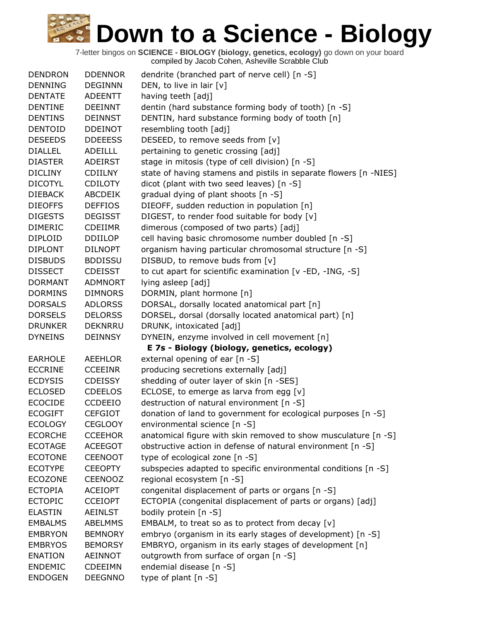| <b>DENDRON</b> | <b>DDENNOR</b> | dendrite (branched part of nerve cell) [n -S]                     |
|----------------|----------------|-------------------------------------------------------------------|
| <b>DENNING</b> | <b>DEGINNN</b> | DEN, to live in lair [v]                                          |
| <b>DENTATE</b> | <b>ADEENTT</b> | having teeth [adj]                                                |
| <b>DENTINE</b> | <b>DEEINNT</b> | dentin (hard substance forming body of tooth) [n -S]              |
| <b>DENTINS</b> | <b>DEINNST</b> | DENTIN, hard substance forming body of tooth [n]                  |
| <b>DENTOID</b> | <b>DDEINOT</b> | resembling tooth [adj]                                            |
| <b>DESEEDS</b> | <b>DDEEESS</b> | DESEED, to remove seeds from [v]                                  |
| <b>DIALLEL</b> | ADEILLL        | pertaining to genetic crossing [adj]                              |
| <b>DIASTER</b> | <b>ADEIRST</b> | stage in mitosis (type of cell division) [n -S]                   |
| <b>DICLINY</b> | <b>CDIILNY</b> | state of having stamens and pistils in separate flowers [n -NIES] |
| <b>DICOTYL</b> | <b>CDILOTY</b> | dicot (plant with two seed leaves) [n -S]                         |
| <b>DIEBACK</b> | <b>ABCDEIK</b> | gradual dying of plant shoots [n -S]                              |
| <b>DIEOFFS</b> | <b>DEFFIOS</b> | DIEOFF, sudden reduction in population [n]                        |
| <b>DIGESTS</b> | <b>DEGISST</b> | DIGEST, to render food suitable for body [v]                      |
| <b>DIMERIC</b> | <b>CDEIIMR</b> | dimerous (composed of two parts) [adj]                            |
| <b>DIPLOID</b> | <b>DDIILOP</b> | cell having basic chromosome number doubled [n -S]                |
| <b>DIPLONT</b> | <b>DILNOPT</b> | organism having particular chromosomal structure [n -S]           |
| <b>DISBUDS</b> | <b>BDDISSU</b> | DISBUD, to remove buds from [v]                                   |
| <b>DISSECT</b> | <b>CDEISST</b> | to cut apart for scientific examination [v -ED, -ING, -S]         |
| <b>DORMANT</b> | <b>ADMNORT</b> | lying asleep [adj]                                                |
| <b>DORMINS</b> | <b>DIMNORS</b> | DORMIN, plant hormone [n]                                         |
| <b>DORSALS</b> | <b>ADLORSS</b> | DORSAL, dorsally located anatomical part [n]                      |
| <b>DORSELS</b> | <b>DELORSS</b> | DORSEL, dorsal (dorsally located anatomical part) [n]             |
| <b>DRUNKER</b> | <b>DEKNRRU</b> | DRUNK, intoxicated [adj]                                          |
| <b>DYNEINS</b> | <b>DEINNSY</b> | DYNEIN, enzyme involved in cell movement [n]                      |
|                |                | E 7s - Biology (biology, genetics, ecology)                       |
| <b>EARHOLE</b> | <b>AEEHLOR</b> | external opening of ear [n -S]                                    |
| <b>ECCRINE</b> | <b>CCEEINR</b> | producing secretions externally [adj]                             |
| <b>ECDYSIS</b> | <b>CDEISSY</b> | shedding of outer layer of skin [n -SES]                          |
| <b>ECLOSED</b> | <b>CDEELOS</b> | ECLOSE, to emerge as larva from egg [v]                           |
| <b>ECOCIDE</b> | <b>CCDEEIO</b> | destruction of natural environment [n -S]                         |
| <b>ECOGIFT</b> | <b>CEFGIOT</b> | donation of land to government for ecological purposes [n -S]     |
| <b>ECOLOGY</b> | <b>CEGLOOY</b> | environmental science [n -S]                                      |
| <b>ECORCHE</b> | <b>CCEEHOR</b> | anatomical figure with skin removed to show musculature [n -S]    |
| <b>ECOTAGE</b> | <b>ACEEGOT</b> | obstructive action in defense of natural environment [n -S]       |
| <b>ECOTONE</b> | <b>CEENOOT</b> | type of ecological zone [n -S]                                    |
| <b>ECOTYPE</b> | <b>CEEOPTY</b> | subspecies adapted to specific environmental conditions [n -S]    |
| <b>ECOZONE</b> | <b>CEENOOZ</b> | regional ecosystem [n -S]                                         |
| <b>ECTOPIA</b> | <b>ACEIOPT</b> | congenital displacement of parts or organs [n -S]                 |
| <b>ECTOPIC</b> | <b>CCEIOPT</b> | ECTOPIA (congenital displacement of parts or organs) [adj]        |
| <b>ELASTIN</b> | <b>AEINLST</b> | bodily protein [n -S]                                             |
| <b>EMBALMS</b> | <b>ABELMMS</b> | EMBALM, to treat so as to protect from decay $[v]$                |
| <b>EMBRYON</b> | <b>BEMNORY</b> | embryo (organism in its early stages of development) [n -S]       |
| <b>EMBRYOS</b> | <b>BEMORSY</b> | EMBRYO, organism in its early stages of development [n]           |
| <b>ENATION</b> | <b>AEINNOT</b> | outgrowth from surface of organ [n -S]                            |
| <b>ENDEMIC</b> | <b>CDEEIMN</b> | endemial disease [n -S]                                           |
| <b>ENDOGEN</b> | <b>DEEGNNO</b> | type of plant [n -S]                                              |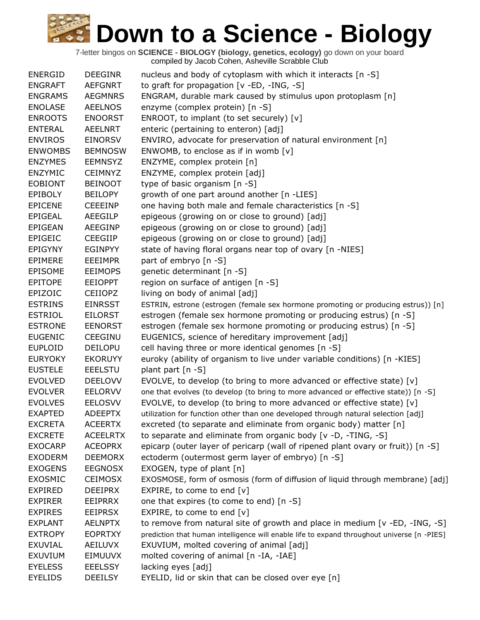| <b>ENERGID</b> | <b>DEEGINR</b>  | nucleus and body of cytoplasm with which it interacts [n -S]                                |
|----------------|-----------------|---------------------------------------------------------------------------------------------|
| <b>ENGRAFT</b> | <b>AEFGNRT</b>  | to graft for propagation [v -ED, -ING, -S]                                                  |
| <b>ENGRAMS</b> | <b>AEGMNRS</b>  | ENGRAM, durable mark caused by stimulus upon protoplasm [n]                                 |
| <b>ENOLASE</b> | <b>AEELNOS</b>  | enzyme (complex protein) [n -S]                                                             |
| <b>ENROOTS</b> | <b>ENOORST</b>  | ENROOT, to implant (to set securely) [v]                                                    |
| <b>ENTERAL</b> | <b>AEELNRT</b>  | enteric (pertaining to enteron) [adj]                                                       |
| <b>ENVIROS</b> | <b>EINORSV</b>  | ENVIRO, advocate for preservation of natural environment [n]                                |
| <b>ENWOMBS</b> | <b>BEMNOSW</b>  | ENWOMB, to enclose as if in womb $[v]$                                                      |
| <b>ENZYMES</b> | <b>EEMNSYZ</b>  | ENZYME, complex protein [n]                                                                 |
| <b>ENZYMIC</b> | <b>CEIMNYZ</b>  | ENZYME, complex protein [adj]                                                               |
| <b>EOBIONT</b> | <b>BEINOOT</b>  | type of basic organism [n -S]                                                               |
| <b>EPIBOLY</b> | <b>BEILOPY</b>  | growth of one part around another [n -LIES]                                                 |
| <b>EPICENE</b> | <b>CEEEINP</b>  | one having both male and female characteristics [n -S]                                      |
| <b>EPIGEAL</b> | AEEGILP         | epigeous (growing on or close to ground) [adj]                                              |
| <b>EPIGEAN</b> | <b>AEEGINP</b>  | epigeous (growing on or close to ground) [adj]                                              |
| <b>EPIGEIC</b> | <b>CEEGIIP</b>  | epigeous (growing on or close to ground) [adj]                                              |
| <b>EPIGYNY</b> | <b>EGINPYY</b>  | state of having floral organs near top of ovary [n -NIES]                                   |
| <b>EPIMERE</b> | <b>EEEIMPR</b>  | part of embryo [n -S]                                                                       |
| <b>EPISOME</b> | <b>EEIMOPS</b>  | genetic determinant [n -S]                                                                  |
| <b>EPITOPE</b> | <b>EEIOPPT</b>  | region on surface of antigen [n -S]                                                         |
| EPIZOIC        | <b>CEIIOPZ</b>  | living on body of animal [adj]                                                              |
| <b>ESTRINS</b> | <b>EINRSST</b>  | ESTRIN, estrone (estrogen (female sex hormone promoting or producing estrus)) [n]           |
| <b>ESTRIOL</b> | <b>EILORST</b>  | estrogen (female sex hormone promoting or producing estrus) [n -S]                          |
| <b>ESTRONE</b> | <b>EENORST</b>  | estrogen (female sex hormone promoting or producing estrus) [n -S]                          |
| <b>EUGENIC</b> | CEEGINU         | EUGENICS, science of hereditary improvement [adj]                                           |
| <b>EUPLOID</b> | <b>DEILOPU</b>  | cell having three or more identical genomes [n -S]                                          |
| <b>EURYOKY</b> | <b>EKORUYY</b>  | euroky (ability of organism to live under variable conditions) [n -KIES]                    |
| <b>EUSTELE</b> | <b>EEELSTU</b>  | plant part [n -S]                                                                           |
| <b>EVOLVED</b> | <b>DEELOVV</b>  | EVOLVE, to develop (to bring to more advanced or effective state) [v]                       |
| <b>EVOLVER</b> | <b>EELORVV</b>  | one that evolves (to develop (to bring to more advanced or effective state)) [n -S]         |
| <b>EVOLVES</b> | <b>EELOSVV</b>  | EVOLVE, to develop (to bring to more advanced or effective state) [v]                       |
| <b>EXAPTED</b> | <b>ADEEPTX</b>  | utilization for function other than one developed through natural selection [adj]           |
| <b>EXCRETA</b> | <b>ACEERTX</b>  | excreted (to separate and eliminate from organic body) matter [n]                           |
| <b>EXCRETE</b> | <b>ACEELRTX</b> | to separate and eliminate from organic body [v -D, -TING, -S]                               |
| <b>EXOCARP</b> | <b>ACEOPRX</b>  | epicarp (outer layer of pericarp (wall of ripened plant ovary or fruit)) [n -S]             |
| <b>EXODERM</b> | <b>DEEMORX</b>  | ectoderm (outermost germ layer of embryo) [n -S]                                            |
| <b>EXOGENS</b> | <b>EEGNOSX</b>  | EXOGEN, type of plant [n]                                                                   |
| <b>EXOSMIC</b> | <b>CEIMOSX</b>  | EXOSMOSE, form of osmosis (form of diffusion of liquid through membrane) [adj]              |
| <b>EXPIRED</b> | <b>DEEIPRX</b>  | EXPIRE, to come to end $[v]$                                                                |
| <b>EXPIRER</b> | <b>EEIPRRX</b>  | one that expires (to come to end) [n -S]                                                    |
| <b>EXPIRES</b> | <b>EEIPRSX</b>  | EXPIRE, to come to end [v]                                                                  |
| <b>EXPLANT</b> | <b>AELNPTX</b>  | to remove from natural site of growth and place in medium [v -ED, -ING, -S]                 |
| <b>EXTROPY</b> | <b>EOPRTXY</b>  | prediction that human intelligence will enable life to expand throughout universe [n -PIES] |
| EXUVIAL        | AEILUVX         | EXUVIUM, molted covering of animal [adj]                                                    |
| <b>EXUVIUM</b> | EIMUUVX         | molted covering of animal [n -IA, -IAE]                                                     |
| <b>EYELESS</b> | <b>EEELSSY</b>  | lacking eyes [adj]                                                                          |
| <b>EYELIDS</b> | DEEILSY         | EYELID, lid or skin that can be closed over eye [n]                                         |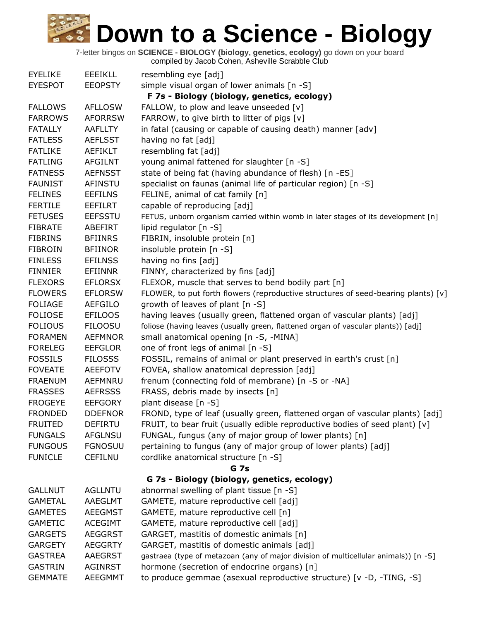7-letter bingos on **SCIENCE - BIOLOGY (biology, genetics, ecology)** go down on your board

compiled by Jacob Cohen, Asheville Scrabble Club

| <b>EYELIKE</b> | <b>EEEIKLL</b> | resembling eye [adj]                                                                |
|----------------|----------------|-------------------------------------------------------------------------------------|
| <b>EYESPOT</b> | <b>EEOPSTY</b> | simple visual organ of lower animals [n -S]                                         |
|                |                | F 7s - Biology (biology, genetics, ecology)                                         |
| <b>FALLOWS</b> | <b>AFLLOSW</b> | FALLOW, to plow and leave unseeded [v]                                              |
| <b>FARROWS</b> | <b>AFORRSW</b> | FARROW, to give birth to litter of pigs [v]                                         |
| <b>FATALLY</b> | <b>AAFLLTY</b> | in fatal (causing or capable of causing death) manner [adv]                         |
| <b>FATLESS</b> | <b>AEFLSST</b> | having no fat [adj]                                                                 |
| <b>FATLIKE</b> | AEFIKLT        | resembling fat [adj]                                                                |
| <b>FATLING</b> | <b>AFGILNT</b> | young animal fattened for slaughter [n -S]                                          |
| <b>FATNESS</b> | <b>AEFNSST</b> | state of being fat (having abundance of flesh) [n -ES]                              |
| <b>FAUNIST</b> | <b>AFINSTU</b> | specialist on faunas (animal life of particular region) [n -S]                      |
| <b>FELINES</b> | <b>EEFILNS</b> | FELINE, animal of cat family [n]                                                    |
| <b>FERTILE</b> | <b>EEFILRT</b> | capable of reproducing [adj]                                                        |
| <b>FETUSES</b> | <b>EEFSSTU</b> | FETUS, unborn organism carried within womb in later stages of its development [n]   |
| <b>FIBRATE</b> | ABEFIRT        | lipid regulator $[n - S]$                                                           |
| <b>FIBRINS</b> | <b>BFIINRS</b> | FIBRIN, insoluble protein [n]                                                       |
| <b>FIBROIN</b> | <b>BFIINOR</b> | insoluble protein [n -S]                                                            |
| <b>FINLESS</b> | <b>EFILNSS</b> | having no fins [adj]                                                                |
| <b>FINNIER</b> | EFIINNR        | FINNY, characterized by fins [adj]                                                  |
| <b>FLEXORS</b> | <b>EFLORSX</b> | FLEXOR, muscle that serves to bend bodily part [n]                                  |
| <b>FLOWERS</b> | <b>EFLORSW</b> | FLOWER, to put forth flowers (reproductive structures of seed-bearing plants) [v]   |
| <b>FOLIAGE</b> | AEFGILO        | growth of leaves of plant [n -S]                                                    |
| <b>FOLIOSE</b> | <b>EFILOOS</b> | having leaves (usually green, flattened organ of vascular plants) [adj]             |
| <b>FOLIOUS</b> | <b>FILOOSU</b> | foliose (having leaves (usually green, flattened organ of vascular plants)) [adj]   |
| <b>FORAMEN</b> | <b>AEFMNOR</b> | small anatomical opening [n -S, -MINA]                                              |
| <b>FORELEG</b> | <b>EEFGLOR</b> | one of front legs of animal [n -S]                                                  |
| <b>FOSSILS</b> | <b>FILOSSS</b> | FOSSIL, remains of animal or plant preserved in earth's crust [n]                   |
| <b>FOVEATE</b> | <b>AEEFOTV</b> | FOVEA, shallow anatomical depression [adj]                                          |
| <b>FRAENUM</b> | AEFMNRU        | frenum (connecting fold of membrane) [n -S or -NA]                                  |
| <b>FRASSES</b> | <b>AEFRSSS</b> | FRASS, debris made by insects [n]                                                   |
| <b>FROGEYE</b> | <b>EEFGORY</b> | plant disease [n -S]                                                                |
| <b>FRONDED</b> | <b>DDEFNOR</b> | FROND, type of leaf (usually green, flattened organ of vascular plants) [adj]       |
| <b>FRUITED</b> | <b>DEFIRTU</b> | FRUIT, to bear fruit (usually edible reproductive bodies of seed plant) $[v]$       |
| <b>FUNGALS</b> | <b>AFGLNSU</b> | FUNGAL, fungus (any of major group of lower plants) [n]                             |
| <b>FUNGOUS</b> | <b>FGNOSUU</b> | pertaining to fungus (any of major group of lower plants) [adj]                     |
| <b>FUNICLE</b> | <b>CEFILNU</b> | cordlike anatomical structure [n -S]                                                |
|                |                | <b>G</b> 7s                                                                         |
|                |                | G 7s - Biology (biology, genetics, ecology)                                         |
| <b>GALLNUT</b> | <b>AGLLNTU</b> | abnormal swelling of plant tissue [n -S]                                            |
| <b>GAMETAL</b> | AAEGLMT        | GAMETE, mature reproductive cell [adj]                                              |
| <b>GAMETES</b> | <b>AEEGMST</b> | GAMETE, mature reproductive cell [n]                                                |
| <b>GAMETIC</b> | <b>ACEGIMT</b> | GAMETE, mature reproductive cell [adj]                                              |
| <b>GARGETS</b> | <b>AEGGRST</b> | GARGET, mastitis of domestic animals [n]                                            |
| <b>GARGETY</b> | <b>AEGGRTY</b> | GARGET, mastitis of domestic animals [adj]                                          |
| <b>GASTREA</b> | <b>AAEGRST</b> | gastraea (type of metazoan (any of major division of multicellular animals)) [n -S] |
| <b>GASTRIN</b> | <b>AGINRST</b> | hormone (secretion of endocrine organs) [n]                                         |
| <b>GEMMATE</b> | <b>AEEGMMT</b> | to produce gemmae (asexual reproductive structure) [v -D, -TING, -S]                |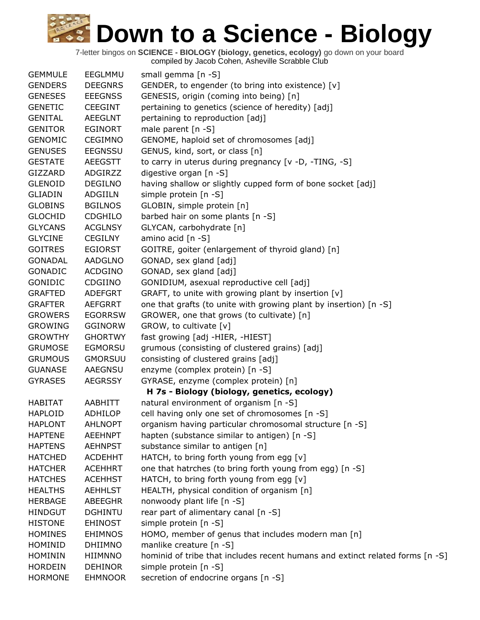| <b>GEMMULE</b> | EEGLMMU        | small gemma [n -S]                                                            |
|----------------|----------------|-------------------------------------------------------------------------------|
| <b>GENDERS</b> | <b>DEEGNRS</b> | GENDER, to engender (to bring into existence) [v]                             |
| <b>GENESES</b> | <b>EEEGNSS</b> | GENESIS, origin (coming into being) [n]                                       |
| <b>GENETIC</b> | <b>CEEGINT</b> | pertaining to genetics (science of heredity) [adj]                            |
| <b>GENITAL</b> | <b>AEEGLNT</b> | pertaining to reproduction [adj]                                              |
| <b>GENITOR</b> | <b>EGINORT</b> | male parent [n -S]                                                            |
| <b>GENOMIC</b> | <b>CEGIMNO</b> | GENOME, haploid set of chromosomes [adj]                                      |
| <b>GENUSES</b> | <b>EEGNSSU</b> | GENUS, kind, sort, or class [n]                                               |
| <b>GESTATE</b> | <b>AEEGSTT</b> | to carry in uterus during pregnancy [v -D, -TING, -S]                         |
| GIZZARD        | ADGIRZZ        | digestive organ [n -S]                                                        |
| <b>GLENOID</b> | <b>DEGILNO</b> | having shallow or slightly cupped form of bone socket [adj]                   |
| <b>GLIADIN</b> | ADGIILN        | simple protein [n -S]                                                         |
| <b>GLOBINS</b> | <b>BGILNOS</b> | GLOBIN, simple protein [n]                                                    |
| <b>GLOCHID</b> | <b>CDGHILO</b> | barbed hair on some plants [n -S]                                             |
| <b>GLYCANS</b> | <b>ACGLNSY</b> | GLYCAN, carbohydrate [n]                                                      |
| <b>GLYCINE</b> | <b>CEGILNY</b> | amino acid [n -S]                                                             |
| <b>GOITRES</b> | <b>EGIORST</b> | GOITRE, goiter (enlargement of thyroid gland) [n]                             |
| <b>GONADAL</b> | <b>AADGLNO</b> | GONAD, sex gland [adj]                                                        |
| <b>GONADIC</b> | <b>ACDGINO</b> | GONAD, sex gland [adj]                                                        |
| GONIDIC        | CDGIINO        | GONIDIUM, asexual reproductive cell [adj]                                     |
| <b>GRAFTED</b> | <b>ADEFGRT</b> | GRAFT, to unite with growing plant by insertion [v]                           |
| <b>GRAFTER</b> | <b>AEFGRRT</b> | one that grafts (to unite with growing plant by insertion) [n -S]             |
| <b>GROWERS</b> | <b>EGORRSW</b> | GROWER, one that grows (to cultivate) [n]                                     |
| <b>GROWING</b> | <b>GGINORW</b> | GROW, to cultivate [v]                                                        |
| <b>GROWTHY</b> | <b>GHORTWY</b> | fast growing [adj -HIER, -HIEST]                                              |
| <b>GRUMOSE</b> | <b>EGMORSU</b> | grumous (consisting of clustered grains) [adj]                                |
| <b>GRUMOUS</b> | <b>GMORSUU</b> | consisting of clustered grains [adj]                                          |
| <b>GUANASE</b> | <b>AAEGNSU</b> | enzyme (complex protein) [n -S]                                               |
| <b>GYRASES</b> | <b>AEGRSSY</b> | GYRASE, enzyme (complex protein) [n]                                          |
|                |                | H 7s - Biology (biology, genetics, ecology)                                   |
| <b>HABITAT</b> | AABHITT        | natural environment of organism [n -S]                                        |
| <b>HAPLOID</b> | <b>ADHILOP</b> | cell having only one set of chromosomes [n -S]                                |
| <b>HAPLONT</b> | <b>AHLNOPT</b> | organism having particular chromosomal structure [n -S]                       |
| <b>HAPTENE</b> | <b>AEEHNPT</b> | hapten (substance similar to antigen) [n -S]                                  |
| <b>HAPTENS</b> | <b>AEHNPST</b> | substance similar to antigen [n]                                              |
| <b>HATCHED</b> | <b>ACDEHHT</b> | HATCH, to bring forth young from egg [v]                                      |
| <b>HATCHER</b> | <b>ACEHHRT</b> | one that hatrches (to bring forth young from egg) [n -S]                      |
| <b>HATCHES</b> | <b>ACEHHST</b> | HATCH, to bring forth young from egg [v]                                      |
| <b>HEALTHS</b> | <b>AEHHLST</b> | HEALTH, physical condition of organism [n]                                    |
| <b>HERBAGE</b> | <b>ABEEGHR</b> | nonwoody plant life [n -S]                                                    |
| <b>HINDGUT</b> | <b>DGHINTU</b> | rear part of alimentary canal [n -S]                                          |
| <b>HISTONE</b> | <b>EHINOST</b> | simple protein [n -S]                                                         |
| <b>HOMINES</b> | <b>EHIMNOS</b> | HOMO, member of genus that includes modern man [n]                            |
| HOMINID        | <b>DHIIMNO</b> | manlike creature [n -S]                                                       |
| <b>HOMININ</b> | <b>HIIMNNO</b> | hominid of tribe that includes recent humans and extinct related forms [n -S] |
| <b>HORDEIN</b> | <b>DEHINOR</b> | simple protein [n -S]                                                         |
| <b>HORMONE</b> | <b>EHMNOOR</b> | secretion of endocrine organs [n -S]                                          |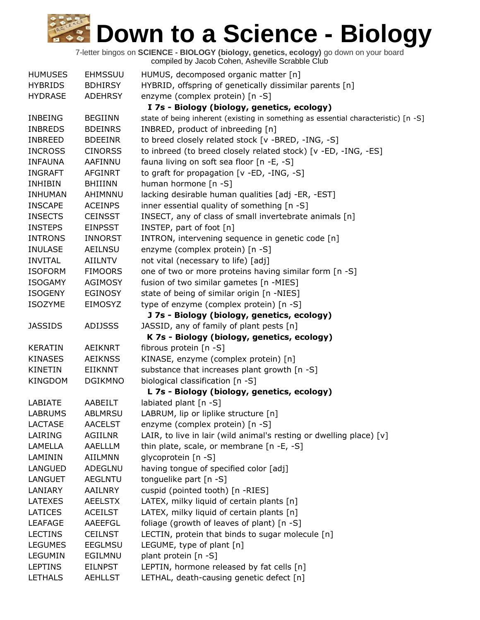| <b>HUMUSES</b>            | <b>EHMSSUU</b>            | HUMUS, decomposed organic matter [n]                                               |
|---------------------------|---------------------------|------------------------------------------------------------------------------------|
| <b>HYBRIDS</b>            | <b>BDHIRSY</b>            | HYBRID, offspring of genetically dissimilar parents [n]                            |
| <b>HYDRASE</b>            | <b>ADEHRSY</b>            | enzyme (complex protein) [n -S]                                                    |
|                           |                           | I 7s - Biology (biology, genetics, ecology)                                        |
| <b>INBEING</b>            | <b>BEGIINN</b>            | state of being inherent (existing in something as essential characteristic) [n -S] |
| <b>INBREDS</b>            | <b>BDEINRS</b>            | INBRED, product of inbreeding [n]                                                  |
| <b>INBREED</b>            | <b>BDEEINR</b>            | to breed closely related stock [v -BRED, -ING, -S]                                 |
| <b>INCROSS</b>            | <b>CINORSS</b>            | to inbreed (to breed closely related stock) [v -ED, -ING, -ES]                     |
| <b>INFAUNA</b>            | AAFINNU                   | fauna living on soft sea floor [n -E, -S]                                          |
| <b>INGRAFT</b>            | <b>AFGINRT</b>            | to graft for propagation [v -ED, -ING, -S]                                         |
| <b>INHIBIN</b>            | <b>BHIIINN</b>            | human hormone [n -S]                                                               |
| <b>INHUMAN</b>            | AHIMNNU                   | lacking desirable human qualities [adj -ER, -EST]                                  |
| <b>INSCAPE</b>            | <b>ACEINPS</b>            | inner essential quality of something [n -S]                                        |
| <b>INSECTS</b>            | <b>CEINSST</b>            | INSECT, any of class of small invertebrate animals [n]                             |
| <b>INSTEPS</b>            | <b>EINPSST</b>            | INSTEP, part of foot [n]                                                           |
| <b>INTRONS</b>            | <b>INNORST</b>            | INTRON, intervening sequence in genetic code [n]                                   |
| <b>INULASE</b>            | <b>AEILNSU</b>            | enzyme (complex protein) [n -S]                                                    |
| <b>INVITAL</b>            | AIILNTV                   | not vital (necessary to life) [adj]                                                |
| <b>ISOFORM</b>            | <b>FIMOORS</b>            | one of two or more proteins having similar form [n -S]                             |
| <b>ISOGAMY</b>            | <b>AGIMOSY</b>            | fusion of two similar gametes [n -MIES]                                            |
| <b>ISOGENY</b>            | <b>EGINOSY</b>            | state of being of similar origin [n -NIES]                                         |
| <b>ISOZYME</b>            | EIMOSYZ                   | type of enzyme (complex protein) [n -S]                                            |
|                           |                           | J 7s - Biology (biology, genetics, ecology)                                        |
| <b>JASSIDS</b>            | <b>ADIJSSS</b>            | JASSID, any of family of plant pests [n]                                           |
|                           |                           | K 7s - Biology (biology, genetics, ecology)                                        |
| <b>KERATIN</b>            | <b>AEIKNRT</b>            | fibrous protein [n -S]                                                             |
| <b>KINASES</b>            | <b>AEIKNSS</b>            | KINASE, enzyme (complex protein) [n]                                               |
| <b>KINETIN</b>            | <b>EIIKNNT</b>            | substance that increases plant growth [n -S]                                       |
| KINGDOM                   | <b>DGIKMNO</b>            | biological classification [n -S]                                                   |
|                           |                           | L 7s - Biology (biology, genetics, ecology)                                        |
| LABIATE                   | AABEILT                   | labiated plant [n -S]                                                              |
| <b>LABRUMS</b>            | ABLMRSU                   | LABRUM, lip or liplike structure [n]                                               |
| <b>LACTASE</b>            | <b>AACELST</b>            | enzyme (complex protein) [n -S]                                                    |
| LAIRING                   | AGIILNR<br>AAELLLM        | LAIR, to live in lair (wild animal's resting or dwelling place) [v]                |
| LAMELLA                   |                           | thin plate, scale, or membrane $[n -E, -S]$                                        |
| LAMININ<br><b>LANGUED</b> | AIILMNN                   | glycoprotein [n -S]<br>having tongue of specified color [adj]                      |
| <b>LANGUET</b>            | ADEGLNU                   | tonguelike part [n -S]                                                             |
| LANIARY                   | <b>AEGLNTU</b><br>AAILNRY | cuspid (pointed tooth) [n -RIES]                                                   |
| LATEXES                   | <b>AEELSTX</b>            | LATEX, milky liquid of certain plants [n]                                          |
| LATICES                   | <b>ACEILST</b>            | LATEX, milky liquid of certain plants [n]                                          |
| <b>LEAFAGE</b>            | AAEEFGL                   | foliage (growth of leaves of plant) [n -S]                                         |
| <b>LECTINS</b>            | <b>CEILNST</b>            | LECTIN, protein that binds to sugar molecule [n]                                   |
| <b>LEGUMES</b>            | <b>EEGLMSU</b>            | LEGUME, type of plant [n]                                                          |
| <b>LEGUMIN</b>            | EGILMNU                   | plant protein [n -S]                                                               |
| <b>LEPTINS</b>            | <b>EILNPST</b>            | LEPTIN, hormone released by fat cells [n]                                          |
| <b>LETHALS</b>            | <b>AEHLLST</b>            | LETHAL, death-causing genetic defect [n]                                           |
|                           |                           |                                                                                    |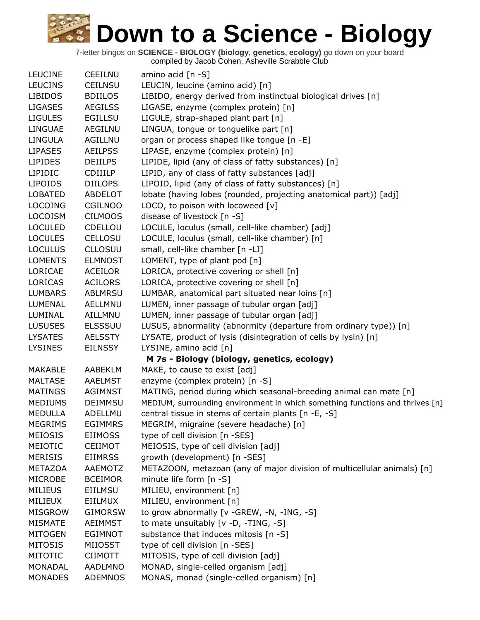| <b>LEUCINE</b> | <b>CEEILNU</b> | amino acid [n -S]                                                            |
|----------------|----------------|------------------------------------------------------------------------------|
| <b>LEUCINS</b> | <b>CEILNSU</b> | LEUCIN, leucine (amino acid) [n]                                             |
| <b>LIBIDOS</b> | <b>BDIILOS</b> | LIBIDO, energy derived from instinctual biological drives [n]                |
| <b>LIGASES</b> | <b>AEGILSS</b> | LIGASE, enzyme (complex protein) [n]                                         |
| <b>LIGULES</b> | <b>EGILLSU</b> | LIGULE, strap-shaped plant part [n]                                          |
| LINGUAE        | AEGILNU        | LINGUA, tongue or tonguelike part [n]                                        |
| <b>LINGULA</b> | AGILLNU        | organ or process shaped like tongue [n -E]                                   |
| <b>LIPASES</b> | <b>AEILPSS</b> | LIPASE, enzyme (complex protein) [n]                                         |
| <b>LIPIDES</b> | <b>DEIILPS</b> | LIPIDE, lipid (any of class of fatty substances) [n]                         |
| LIPIDIC        | <b>CDIIILP</b> | LIPID, any of class of fatty substances [adj]                                |
| <b>LIPOIDS</b> | <b>DIILOPS</b> | LIPOID, lipid (any of class of fatty substances) [n]                         |
| <b>LOBATED</b> | ABDELOT        | lobate (having lobes (rounded, projecting anatomical part)) [adj]            |
| <b>LOCOING</b> | <b>CGILNOO</b> | LOCO, to poison with locoweed [v]                                            |
| <b>LOCOISM</b> | <b>CILMOOS</b> | disease of livestock [n -S]                                                  |
| <b>LOCULED</b> | CDELLOU        | LOCULE, loculus (small, cell-like chamber) [adj]                             |
| <b>LOCULES</b> | <b>CELLOSU</b> | LOCULE, loculus (small, cell-like chamber) [n]                               |
| <b>LOCULUS</b> | <b>CLLOSUU</b> | small, cell-like chamber [n -LI]                                             |
| <b>LOMENTS</b> | <b>ELMNOST</b> | LOMENT, type of plant pod [n]                                                |
| LORICAE        | <b>ACEILOR</b> | LORICA, protective covering or shell [n]                                     |
| <b>LORICAS</b> | <b>ACILORS</b> | LORICA, protective covering or shell [n]                                     |
| <b>LUMBARS</b> | <b>ABLMRSU</b> | LUMBAR, anatomical part situated near loins [n]                              |
| <b>LUMENAL</b> | AELLMNU        | LUMEN, inner passage of tubular organ [adj]                                  |
| LUMINAL        | AILLMNU        | LUMEN, inner passage of tubular organ [adj]                                  |
| <b>LUSUSES</b> | <b>ELSSSUU</b> | LUSUS, abnormality (abnormity (departure from ordinary type)) [n]            |
| <b>LYSATES</b> | <b>AELSSTY</b> | LYSATE, product of lysis (disintegration of cells by lysin) [n]              |
| <b>LYSINES</b> | <b>EILNSSY</b> | LYSINE, amino acid [n]                                                       |
|                |                | M 7s - Biology (biology, genetics, ecology)                                  |
| <b>MAKABLE</b> | AABEKLM        | MAKE, to cause to exist [adj]                                                |
| <b>MALTASE</b> | <b>AAELMST</b> | enzyme (complex protein) [n -S]                                              |
| <b>MATINGS</b> | <b>AGIMNST</b> | MATING, period during which seasonal-breeding animal can mate [n]            |
| <b>MEDIUMS</b> | <b>DEIMMSU</b> | MEDIUM, surrounding environment in which something functions and thrives [n] |
| <b>MEDULLA</b> | ADELLMU        | central tissue in stems of certain plants [n -E, -S]                         |
| <b>MEGRIMS</b> | <b>EGIMMRS</b> | MEGRIM, migraine (severe headache) [n]                                       |
| <b>MEIOSIS</b> | <b>EIIMOSS</b> | type of cell division [n -SES]                                               |
| MEIOTIC        | <b>CEIIMOT</b> | MEIOSIS, type of cell division [adj]                                         |
| <b>MERISIS</b> | <b>EIIMRSS</b> | growth (development) [n -SES]                                                |
| <b>METAZOA</b> | AAEMOTZ        | METAZOON, metazoan (any of major division of multicellular animals) [n]      |
| <b>MICROBE</b> | <b>BCEIMOR</b> | minute life form $[n - S]$                                                   |
| <b>MILIEUS</b> | <b>EIILMSU</b> | MILIEU, environment [n]                                                      |
| MILIEUX        | EIILMUX        | MILIEU, environment [n]                                                      |
| <b>MISGROW</b> | <b>GIMORSW</b> | to grow abnormally [v -GREW, -N, -ING, -S]                                   |
| <b>MISMATE</b> | <b>AEIMMST</b> | to mate unsuitably $[v -D, -TING, -S]$                                       |
| <b>MITOGEN</b> | <b>EGIMNOT</b> | substance that induces mitosis [n -S]                                        |
| <b>MITOSIS</b> | MIIOSST        | type of cell division [n -SES]                                               |
| <b>MITOTIC</b> | <b>CIIMOTT</b> | MITOSIS, type of cell division [adj]                                         |
| <b>MONADAL</b> | <b>AADLMNO</b> | MONAD, single-celled organism [adj]                                          |
| <b>MONADES</b> | <b>ADEMNOS</b> | MONAS, monad (single-celled organism) [n]                                    |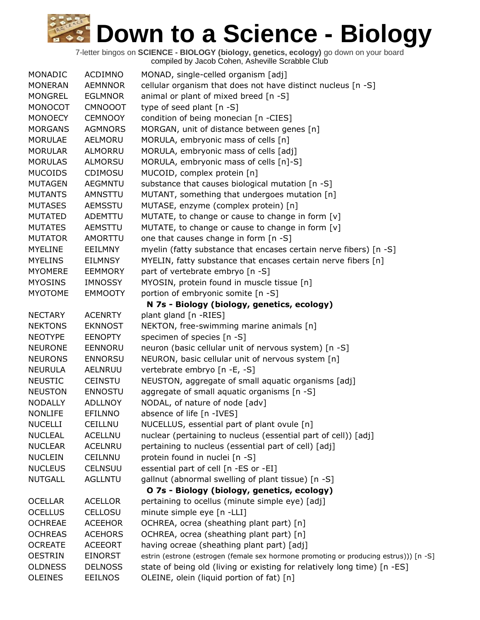| MONADIC        | <b>ACDIMNO</b> | MONAD, single-celled organism [adj]                                                   |
|----------------|----------------|---------------------------------------------------------------------------------------|
| <b>MONERAN</b> | <b>AEMNNOR</b> | cellular organism that does not have distinct nucleus [n -S]                          |
| <b>MONGREL</b> | <b>EGLMNOR</b> | animal or plant of mixed breed [n -S]                                                 |
| MONOCOT        | <b>CMNOOOT</b> | type of seed plant [n -S]                                                             |
| <b>MONOECY</b> | <b>CEMNOOY</b> | condition of being monecian [n -CIES]                                                 |
| <b>MORGANS</b> | <b>AGMNORS</b> | MORGAN, unit of distance between genes [n]                                            |
| <b>MORULAE</b> | AELMORU        | MORULA, embryonic mass of cells [n]                                                   |
| <b>MORULAR</b> | <b>ALMORRU</b> | MORULA, embryonic mass of cells [adj]                                                 |
| <b>MORULAS</b> | <b>ALMORSU</b> | MORULA, embryonic mass of cells [n]-S]                                                |
| <b>MUCOIDS</b> | CDIMOSU        | MUCOID, complex protein [n]                                                           |
| <b>MUTAGEN</b> | <b>AEGMNTU</b> | substance that causes biological mutation [n -S]                                      |
| <b>MUTANTS</b> | AMNSTTU        | MUTANT, something that undergoes mutation [n]                                         |
| <b>MUTASES</b> | AEMSSTU        | MUTASE, enzyme (complex protein) [n]                                                  |
| <b>MUTATED</b> | <b>ADEMTTU</b> | MUTATE, to change or cause to change in form [v]                                      |
| <b>MUTATES</b> | <b>AEMSTTU</b> | MUTATE, to change or cause to change in form [v]                                      |
| <b>MUTATOR</b> | AMORTTU        | one that causes change in form [n -S]                                                 |
| <b>MYELINE</b> | <b>EEILMNY</b> | myelin (fatty substance that encases certain nerve fibers) [n -S]                     |
| <b>MYELINS</b> | <b>EILMNSY</b> | MYELIN, fatty substance that encases certain nerve fibers [n]                         |
| <b>MYOMERE</b> | <b>EEMMORY</b> | part of vertebrate embryo [n -S]                                                      |
| <b>MYOSINS</b> | <b>IMNOSSY</b> | MYOSIN, protein found in muscle tissue [n]                                            |
| <b>MYOTOME</b> | <b>EMMOOTY</b> | portion of embryonic somite [n -S]                                                    |
|                |                | N 7s - Biology (biology, genetics, ecology)                                           |
| <b>NECTARY</b> | <b>ACENRTY</b> | plant gland [n -RIES]                                                                 |
| <b>NEKTONS</b> | <b>EKNNOST</b> | NEKTON, free-swimming marine animals [n]                                              |
| <b>NEOTYPE</b> | <b>EENOPTY</b> | specimen of species [n -S]                                                            |
| <b>NEURONE</b> | EENNORU        | neuron (basic cellular unit of nervous system) [n -S]                                 |
| <b>NEURONS</b> | <b>ENNORSU</b> | NEURON, basic cellular unit of nervous system [n]                                     |
| <b>NEURULA</b> | <b>AELNRUU</b> | vertebrate embryo [n -E, -S]                                                          |
| <b>NEUSTIC</b> | <b>CEINSTU</b> | NEUSTON, aggregate of small aquatic organisms [adj]                                   |
| <b>NEUSTON</b> | <b>ENNOSTU</b> | aggregate of small aquatic organisms [n -S]                                           |
| <b>NODALLY</b> | <b>ADLLNOY</b> | NODAL, of nature of node [adv]                                                        |
| <b>NONLIFE</b> | <b>EFILNNO</b> | absence of life [n -IVES]                                                             |
| <b>NUCELLI</b> | <b>CEILLNU</b> | NUCELLUS, essential part of plant ovule [n]                                           |
| <b>NUCLEAL</b> | <b>ACELLNU</b> | nuclear (pertaining to nucleus (essential part of cell)) [adj]                        |
| <b>NUCLEAR</b> | <b>ACELNRU</b> | pertaining to nucleus (essential part of cell) [adj]                                  |
| <b>NUCLEIN</b> | CEILNNU        | protein found in nuclei [n -S]                                                        |
| <b>NUCLEUS</b> | <b>CELNSUU</b> | essential part of cell [n -ES or -EI]                                                 |
| <b>NUTGALL</b> | <b>AGLLNTU</b> | gallnut (abnormal swelling of plant tissue) [n -S]                                    |
|                |                | O 7s - Biology (biology, genetics, ecology)                                           |
| <b>OCELLAR</b> | <b>ACELLOR</b> | pertaining to ocellus (minute simple eye) [adj]                                       |
| <b>OCELLUS</b> | CELLOSU        | minute simple eye [n -LLI]                                                            |
| <b>OCHREAE</b> | <b>ACEEHOR</b> | OCHREA, ocrea (sheathing plant part) [n]                                              |
| <b>OCHREAS</b> | <b>ACEHORS</b> | OCHREA, ocrea (sheathing plant part) [n]                                              |
| <b>OCREATE</b> | <b>ACEEORT</b> | having ocreae (sheathing plant part) [adj]                                            |
| <b>OESTRIN</b> | <b>EINORST</b> | estrin (estrone (estrogen (female sex hormone promoting or producing estrus))) [n -S] |
| <b>OLDNESS</b> | <b>DELNOSS</b> | state of being old (living or existing for relatively long time) [n -ES]              |
| <b>OLEINES</b> | <b>EEILNOS</b> | OLEINE, olein (liquid portion of fat) [n]                                             |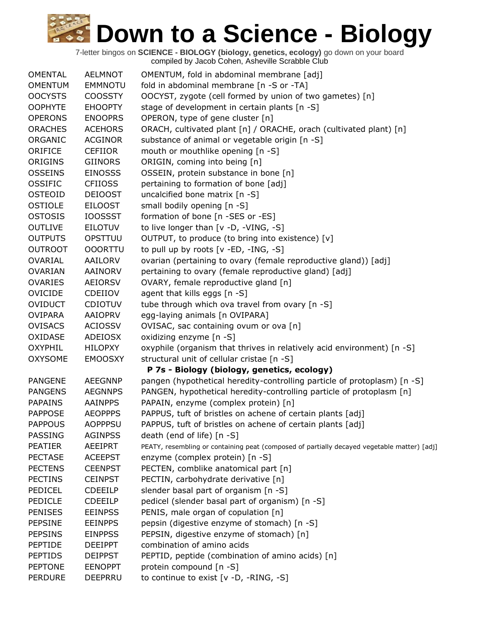| <b>OMENTAL</b> | <b>AELMNOT</b> | OMENTUM, fold in abdominal membrane [adj]                                                   |
|----------------|----------------|---------------------------------------------------------------------------------------------|
| <b>OMENTUM</b> | <b>EMMNOTU</b> | fold in abdominal membrane [n -S or -TA]                                                    |
| <b>OOCYSTS</b> | <b>COOSSTY</b> | OOCYST, zygote (cell formed by union of two gametes) [n]                                    |
| <b>OOPHYTE</b> | <b>EHOOPTY</b> | stage of development in certain plants [n -S]                                               |
| <b>OPERONS</b> | <b>ENOOPRS</b> | OPERON, type of gene cluster [n]                                                            |
| <b>ORACHES</b> | <b>ACEHORS</b> | ORACH, cultivated plant [n] / ORACHE, orach (cultivated plant) [n]                          |
| ORGANIC        | <b>ACGINOR</b> | substance of animal or vegetable origin [n -S]                                              |
| ORIFICE        | <b>CEFIIOR</b> | mouth or mouthlike opening [n -S]                                                           |
| <b>ORIGINS</b> | <b>GIINORS</b> | ORIGIN, coming into being [n]                                                               |
| <b>OSSEINS</b> | <b>EINOSSS</b> | OSSEIN, protein substance in bone [n]                                                       |
| <b>OSSIFIC</b> | <b>CFIIOSS</b> | pertaining to formation of bone [adj]                                                       |
| <b>OSTEOID</b> | <b>DEIOOST</b> | uncalcified bone matrix [n -S]                                                              |
| OSTIOLE        | <b>EILOOST</b> | small bodily opening [n -S]                                                                 |
| <b>OSTOSIS</b> | <b>IOOSSST</b> | formation of bone [n -SES or -ES]                                                           |
| <b>OUTLIVE</b> | <b>EILOTUV</b> | to live longer than [v -D, -VING, -S]                                                       |
| <b>OUTPUTS</b> | OPSTTUU        | OUTPUT, to produce (to bring into existence) [v]                                            |
| <b>OUTROOT</b> | <b>OOORTTU</b> | to pull up by roots [v -ED, -ING, -S]                                                       |
| <b>OVARIAL</b> | <b>AAILORV</b> | ovarian (pertaining to ovary (female reproductive gland)) [adj]                             |
| <b>OVARIAN</b> | <b>AAINORV</b> | pertaining to ovary (female reproductive gland) [adj]                                       |
| <b>OVARIES</b> | <b>AEIORSV</b> | OVARY, female reproductive gland [n]                                                        |
| <b>OVICIDE</b> | CDEIIOV        | agent that kills eggs [n -S]                                                                |
| <b>OVIDUCT</b> | <b>CDIOTUV</b> | tube through which ova travel from ovary [n -S]                                             |
| <b>OVIPARA</b> | <b>AAIOPRV</b> | egg-laying animals [n OVIPARA]                                                              |
| <b>OVISACS</b> | <b>ACIOSSV</b> | OVISAC, sac containing ovum or ova [n]                                                      |
| OXIDASE        | <b>ADEIOSX</b> | oxidizing enzyme [n -S]                                                                     |
| <b>OXYPHIL</b> | <b>HILOPXY</b> | oxyphile (organism that thrives in relatively acid environment) [n -S]                      |
| <b>OXYSOME</b> | <b>EMOOSXY</b> | structural unit of cellular cristae [n -S]                                                  |
|                |                | P 7s - Biology (biology, genetics, ecology)                                                 |
| <b>PANGENE</b> | <b>AEEGNNP</b> | pangen (hypothetical heredity-controlling particle of protoplasm) [n -S]                    |
| <b>PANGENS</b> | <b>AEGNNPS</b> | PANGEN, hypothetical heredity-controlling particle of protoplasm [n]                        |
| <b>PAPAINS</b> | <b>AAINPPS</b> | PAPAIN, enzyme (complex protein) [n]                                                        |
| <b>PAPPOSE</b> | <b>AEOPPPS</b> | PAPPUS, tuft of bristles on achene of certain plants [adj]                                  |
| <b>PAPPOUS</b> | <b>AOPPPSU</b> | PAPPUS, tuft of bristles on achene of certain plants [adj]                                  |
| PASSING        | <b>AGINPSS</b> | death (end of life) [n -S]                                                                  |
| <b>PEATIER</b> | AEEIPRT        | PEATY, resembling or containing peat (composed of partially decayed vegetable matter) [adj] |
| <b>PECTASE</b> | <b>ACEEPST</b> | enzyme (complex protein) [n -S]                                                             |
| <b>PECTENS</b> | <b>CEENPST</b> | PECTEN, comblike anatomical part [n]                                                        |
| <b>PECTINS</b> | <b>CEINPST</b> | PECTIN, carbohydrate derivative [n]                                                         |
| PEDICEL        | <b>CDEEILP</b> | slender basal part of organism [n -S]                                                       |
| PEDICLE        | <b>CDEEILP</b> | pedicel (slender basal part of organism) [n -S]                                             |
| <b>PENISES</b> | <b>EEINPSS</b> | PENIS, male organ of copulation [n]                                                         |
| <b>PEPSINE</b> | <b>EEINPPS</b> | pepsin (digestive enzyme of stomach) [n -S]                                                 |
| <b>PEPSINS</b> | <b>EINPPSS</b> | PEPSIN, digestive enzyme of stomach) [n]                                                    |
| <b>PEPTIDE</b> | <b>DEEIPPT</b> | combination of amino acids                                                                  |
| <b>PEPTIDS</b> | <b>DEIPPST</b> | PEPTID, peptide (combination of amino acids) [n]                                            |
| <b>PEPTONE</b> | <b>EENOPPT</b> | protein compound [n -S]                                                                     |
| <b>PERDURE</b> | <b>DEEPRRU</b> | to continue to exist [v -D, -RING, -S]                                                      |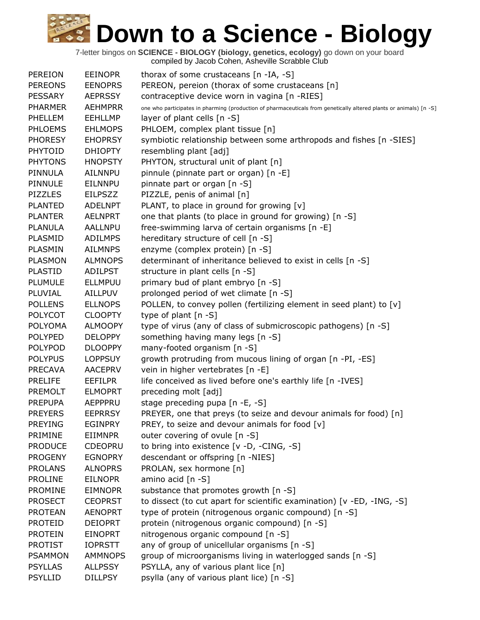| <b>PEREION</b> | <b>EEINOPR</b> | thorax of some crustaceans [n -IA, -S]                                                                             |
|----------------|----------------|--------------------------------------------------------------------------------------------------------------------|
| <b>PEREONS</b> | <b>EENOPRS</b> | PEREON, pereion (thorax of some crustaceans [n]                                                                    |
| <b>PESSARY</b> | <b>AEPRSSY</b> | contraceptive device worn in vagina [n -RIES]                                                                      |
| <b>PHARMER</b> | <b>AEHMPRR</b> | one who participates in pharming (production of pharmaceuticals from genetically altered plants or animals) [n -S] |
| PHELLEM        | <b>EEHLLMP</b> | layer of plant cells [n -S]                                                                                        |
| PHLOEMS        | <b>EHLMOPS</b> | PHLOEM, complex plant tissue [n]                                                                                   |
| <b>PHORESY</b> | <b>EHOPRSY</b> | symbiotic relationship between some arthropods and fishes [n -SIES]                                                |
| <b>PHYTOID</b> | <b>DHIOPTY</b> | resembling plant [adj]                                                                                             |
| <b>PHYTONS</b> | <b>HNOPSTY</b> | PHYTON, structural unit of plant [n]                                                                               |
| PINNULA        | AILNNPU        | pinnule (pinnate part or organ) [n -E]                                                                             |
| PINNULE        | <b>EILNNPU</b> | pinnate part or organ [n -S]                                                                                       |
| <b>PIZZLES</b> | <b>EILPSZZ</b> | PIZZLE, penis of animal [n]                                                                                        |
| <b>PLANTED</b> | <b>ADELNPT</b> | PLANT, to place in ground for growing [v]                                                                          |
| <b>PLANTER</b> | <b>AELNPRT</b> | one that plants (to place in ground for growing) [n -S]                                                            |
| <b>PLANULA</b> | <b>AALLNPU</b> | free-swimming larva of certain organisms [n -E]                                                                    |
| PLASMID        | <b>ADILMPS</b> | hereditary structure of cell [n -S]                                                                                |
| PLASMIN        | <b>AILMNPS</b> | enzyme (complex protein) [n -S]                                                                                    |
| <b>PLASMON</b> | <b>ALMNOPS</b> | determinant of inheritance believed to exist in cells [n -S]                                                       |
| <b>PLASTID</b> | <b>ADILPST</b> | structure in plant cells [n -S]                                                                                    |
| PLUMULE        | <b>ELLMPUU</b> | primary bud of plant embryo [n -S]                                                                                 |
| PLUVIAL        | <b>AILLPUV</b> | prolonged period of wet climate [n -S]                                                                             |
| <b>POLLENS</b> | <b>ELLNOPS</b> | POLLEN, to convey pollen (fertilizing element in seed plant) to [v]                                                |
| <b>POLYCOT</b> | <b>CLOOPTY</b> | type of plant $[n - S]$                                                                                            |
| <b>POLYOMA</b> | <b>ALMOOPY</b> | type of virus (any of class of submicroscopic pathogens) [n -S]                                                    |
| <b>POLYPED</b> | <b>DELOPPY</b> | something having many legs [n -S]                                                                                  |
| <b>POLYPOD</b> | <b>DLOOPPY</b> | many-footed organism [n -S]                                                                                        |
| <b>POLYPUS</b> | <b>LOPPSUY</b> | growth protruding from mucous lining of organ [n -PI, -ES]                                                         |
| <b>PRECAVA</b> | <b>AACEPRV</b> | vein in higher vertebrates [n -E]                                                                                  |
| <b>PRELIFE</b> | <b>EEFILPR</b> | life conceived as lived before one's earthly life [n -IVES]                                                        |
| <b>PREMOLT</b> | <b>ELMOPRT</b> | preceding molt [adj]                                                                                               |
| <b>PREPUPA</b> | <b>AEPPPRU</b> | stage preceding pupa [n -E, -S]                                                                                    |
| <b>PREYERS</b> | <b>EEPRRSY</b> | PREYER, one that preys (to seize and devour animals for food) [n]                                                  |
| <b>PREYING</b> | <b>EGINPRY</b> | PREY, to seize and devour animals for food [v]                                                                     |
| PRIMINE        | EIIMNPR        | outer covering of ovule [n -S]                                                                                     |
| <b>PRODUCE</b> | <b>CDEOPRU</b> | to bring into existence [v -D, -CING, -S]                                                                          |
| <b>PROGENY</b> | <b>EGNOPRY</b> | descendant or offspring [n -NIES]                                                                                  |
| <b>PROLANS</b> | <b>ALNOPRS</b> | PROLAN, sex hormone [n]                                                                                            |
| <b>PROLINE</b> | <b>EILNOPR</b> | amino acid [n -S]                                                                                                  |
| <b>PROMINE</b> | <b>EIMNOPR</b> | substance that promotes growth [n -S]                                                                              |
| <b>PROSECT</b> | <b>CEOPRST</b> | to dissect (to cut apart for scientific examination) [v -ED, -ING, -S]                                             |
| <b>PROTEAN</b> | <b>AENOPRT</b> | type of protein (nitrogenous organic compound) [n -S]                                                              |
| <b>PROTEID</b> | <b>DEIOPRT</b> | protein (nitrogenous organic compound) [n -S]                                                                      |
| <b>PROTEIN</b> | <b>EINOPRT</b> | nitrogenous organic compound [n -S]                                                                                |
| <b>PROTIST</b> | <b>IOPRSTT</b> | any of group of unicellular organisms [n -S]                                                                       |
| <b>PSAMMON</b> | <b>AMMNOPS</b> | group of microorganisms living in waterlogged sands [n -S]                                                         |
| <b>PSYLLAS</b> | <b>ALLPSSY</b> | PSYLLA, any of various plant lice [n]                                                                              |
| <b>PSYLLID</b> | <b>DILLPSY</b> | psylla (any of various plant lice) [n -S]                                                                          |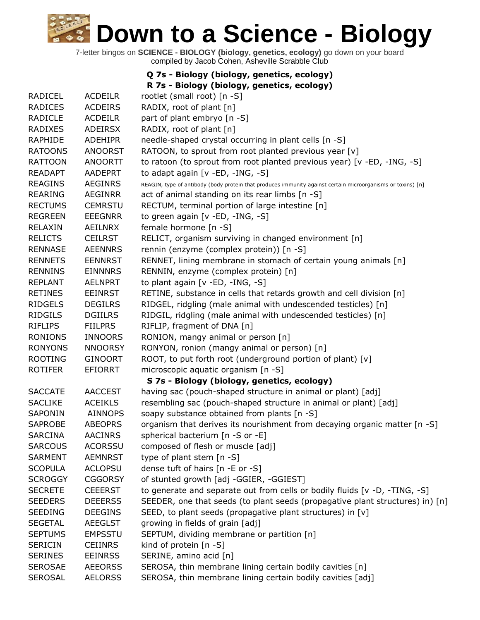|                |                | Q 7s - Biology (biology, genetics, ecology)                                                                 |
|----------------|----------------|-------------------------------------------------------------------------------------------------------------|
|                |                | R 7s - Biology (biology, genetics, ecology)                                                                 |
| <b>RADICEL</b> | <b>ACDEILR</b> | rootlet (small root) [n -S]                                                                                 |
| <b>RADICES</b> | <b>ACDEIRS</b> | RADIX, root of plant [n]                                                                                    |
| <b>RADICLE</b> | <b>ACDEILR</b> | part of plant embryo [n -S]                                                                                 |
| RADIXES        | <b>ADEIRSX</b> | RADIX, root of plant [n]                                                                                    |
| RAPHIDE        | <b>ADEHIPR</b> | needle-shaped crystal occurring in plant cells [n -S]                                                       |
| <b>RATOONS</b> | <b>ANOORST</b> | RATOON, to sprout from root planted previous year [v]                                                       |
| <b>RATTOON</b> | <b>ANOORTT</b> | to ratoon (to sprout from root planted previous year) [v -ED, -ING, -S]                                     |
| <b>READAPT</b> | <b>AADEPRT</b> | to adapt again [v -ED, -ING, -S]                                                                            |
| <b>REAGINS</b> | <b>AEGINRS</b> | REAGIN, type of antibody (body protein that produces immunity against certain microorganisms or toxins) [n] |
| <b>REARING</b> | <b>AEGINRR</b> | act of animal standing on its rear limbs [n -S]                                                             |
| <b>RECTUMS</b> | <b>CEMRSTU</b> | RECTUM, terminal portion of large intestine [n]                                                             |
| <b>REGREEN</b> | <b>EEEGNRR</b> | to green again [v -ED, -ING, -S]                                                                            |
| RELAXIN        | AEILNRX        | female hormone [n -S]                                                                                       |
| <b>RELICTS</b> | <b>CEILRST</b> | RELICT, organism surviving in changed environment [n]                                                       |
| <b>RENNASE</b> | <b>AEENNRS</b> | rennin (enzyme (complex protein)) [n -S]                                                                    |
| <b>RENNETS</b> | <b>EENNRST</b> | RENNET, lining membrane in stomach of certain young animals [n]                                             |
| <b>RENNINS</b> | <b>EINNNRS</b> | RENNIN, enzyme (complex protein) [n]                                                                        |
| <b>REPLANT</b> | <b>AELNPRT</b> | to plant again [v -ED, -ING, -S]                                                                            |
| <b>RETINES</b> | <b>EEINRST</b> | RETINE, substance in cells that retards growth and cell division [n]                                        |
| <b>RIDGELS</b> | <b>DEGILRS</b> | RIDGEL, ridgling (male animal with undescended testicles) [n]                                               |
| <b>RIDGILS</b> | <b>DGIILRS</b> | RIDGIL, ridgling (male animal with undescended testicles) [n]                                               |
| <b>RIFLIPS</b> | <b>FIILPRS</b> | RIFLIP, fragment of DNA [n]                                                                                 |
| <b>RONIONS</b> | <b>INNOORS</b> | RONION, mangy animal or person [n]                                                                          |
| <b>RONYONS</b> | <b>NNOORSY</b> | RONYON, ronion (mangy animal or person) [n]                                                                 |
| <b>ROOTING</b> | <b>GINOORT</b> | ROOT, to put forth root (underground portion of plant) [v]                                                  |
| <b>ROTIFER</b> | <b>EFIORRT</b> | microscopic aquatic organism [n -S]                                                                         |
|                |                | S 7s - Biology (biology, genetics, ecology)                                                                 |
| <b>SACCATE</b> | <b>AACCEST</b> | having sac (pouch-shaped structure in animal or plant) [adj]                                                |
| <b>SACLIKE</b> | <b>ACEIKLS</b> | resembling sac (pouch-shaped structure in animal or plant) [adj]                                            |
| SAPONIN        | <b>AINNOPS</b> | soapy substance obtained from plants [n -S]                                                                 |
| <b>SAPROBE</b> | <b>ABEOPRS</b> | organism that derives its nourishment from decaying organic matter [n -S]                                   |
| <b>SARCINA</b> | <b>AACINRS</b> | spherical bacterium [n -S or -E]                                                                            |
| <b>SARCOUS</b> | <b>ACORSSU</b> | composed of flesh or muscle [adj]                                                                           |
| <b>SARMENT</b> | <b>AEMNRST</b> | type of plant stem $[n - S]$                                                                                |
| <b>SCOPULA</b> | <b>ACLOPSU</b> | dense tuft of hairs [n -E or -S]                                                                            |
| <b>SCROGGY</b> | <b>CGGORSY</b> | of stunted growth [adj -GGIER, -GGIEST]                                                                     |
| <b>SECRETE</b> | <b>CEEERST</b> | to generate and separate out from cells or bodily fluids [v -D, -TING, -S]                                  |
| <b>SEEDERS</b> | <b>DEEERSS</b> | SEEDER, one that seeds (to plant seeds (propagative plant structures) in) [n]                               |
| <b>SEEDING</b> | <b>DEEGINS</b> | SEED, to plant seeds (propagative plant structures) in [v]                                                  |
| <b>SEGETAL</b> | <b>AEEGLST</b> | growing in fields of grain [adj]                                                                            |
| <b>SEPTUMS</b> | <b>EMPSSTU</b> | SEPTUM, dividing membrane or partition [n]                                                                  |
| <b>SERICIN</b> | <b>CEIINRS</b> | kind of protein [n -S]                                                                                      |
| <b>SERINES</b> | <b>EEINRSS</b> | SERINE, amino acid [n]                                                                                      |
| <b>SEROSAE</b> | <b>AEEORSS</b> | SEROSA, thin membrane lining certain bodily cavities [n]                                                    |
| <b>SEROSAL</b> | <b>AELORSS</b> | SEROSA, thin membrane lining certain bodily cavities [adj]                                                  |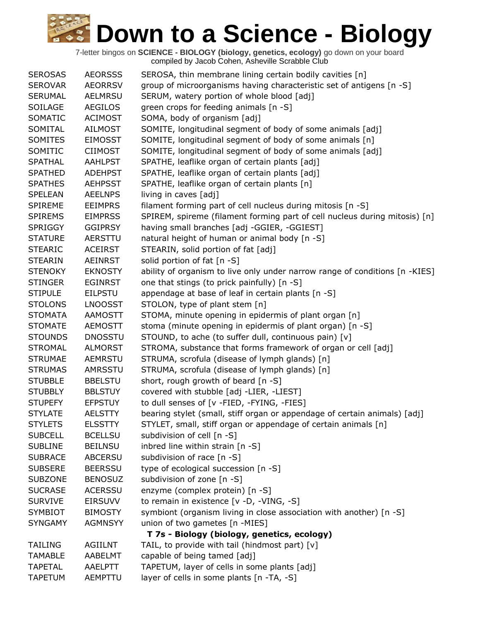| <b>SEROSAS</b> | <b>AEORSSS</b> | SEROSA, thin membrane lining certain bodily cavities [n]                    |
|----------------|----------------|-----------------------------------------------------------------------------|
| <b>SEROVAR</b> | <b>AEORRSV</b> | group of microorganisms having characteristic set of antigens [n -S]        |
| <b>SERUMAL</b> | AELMRSU        | SERUM, watery portion of whole blood [adj]                                  |
| SOILAGE        | <b>AEGILOS</b> | green crops for feeding animals [n -S]                                      |
| SOMATIC        | <b>ACIMOST</b> | SOMA, body of organism [adj]                                                |
| SOMITAL        | <b>AILMOST</b> | SOMITE, longitudinal segment of body of some animals [adj]                  |
| <b>SOMITES</b> | <b>EIMOSST</b> | SOMITE, longitudinal segment of body of some animals [n]                    |
| SOMITIC        | <b>CIIMOST</b> | SOMITE, longitudinal segment of body of some animals [adj]                  |
| <b>SPATHAL</b> | <b>AAHLPST</b> | SPATHE, leaflike organ of certain plants [adj]                              |
| <b>SPATHED</b> | <b>ADEHPST</b> | SPATHE, leaflike organ of certain plants [adj]                              |
| <b>SPATHES</b> | <b>AEHPSST</b> | SPATHE, leaflike organ of certain plants [n]                                |
| <b>SPELEAN</b> | <b>AEELNPS</b> | living in caves [adj]                                                       |
| <b>SPIREME</b> | <b>EEIMPRS</b> | filament forming part of cell nucleus during mitosis [n -S]                 |
| <b>SPIREMS</b> | <b>EIMPRSS</b> | SPIREM, spireme (filament forming part of cell nucleus during mitosis) [n]  |
| <b>SPRIGGY</b> | <b>GGIPRSY</b> | having small branches [adj -GGIER, -GGIEST]                                 |
| <b>STATURE</b> | AERSTTU        | natural height of human or animal body [n -S]                               |
| <b>STEARIC</b> | <b>ACEIRST</b> | STEARIN, solid portion of fat [adj]                                         |
| <b>STEARIN</b> | <b>AEINRST</b> | solid portion of fat [n -S]                                                 |
| <b>STENOKY</b> | <b>EKNOSTY</b> | ability of organism to live only under narrow range of conditions [n -KIES] |
| <b>STINGER</b> | <b>EGINRST</b> | one that stings (to prick painfully) [n -S]                                 |
| <b>STIPULE</b> | <b>EILPSTU</b> | appendage at base of leaf in certain plants [n -S]                          |
| <b>STOLONS</b> | <b>LNOOSST</b> | STOLON, type of plant stem [n]                                              |
| <b>STOMATA</b> | <b>AAMOSTT</b> | STOMA, minute opening in epidermis of plant organ [n]                       |
| <b>STOMATE</b> | <b>AEMOSTT</b> | stoma (minute opening in epidermis of plant organ) [n -S]                   |
| <b>STOUNDS</b> | <b>DNOSSTU</b> | STOUND, to ache (to suffer dull, continuous pain) [v]                       |
| <b>STROMAL</b> | <b>ALMORST</b> | STROMA, substance that forms framework of organ or cell [adj]               |
| <b>STRUMAE</b> | <b>AEMRSTU</b> | STRUMA, scrofula (disease of lymph glands) [n]                              |
| <b>STRUMAS</b> | <b>AMRSSTU</b> | STRUMA, scrofula (disease of lymph glands) [n]                              |
| <b>STUBBLE</b> | <b>BBELSTU</b> | short, rough growth of beard [n -S]                                         |
| <b>STUBBLY</b> | <b>BBLSTUY</b> | covered with stubble [adj -LIER, -LIEST]                                    |
| <b>STUPEFY</b> | <b>EFPSTUY</b> | to dull senses of [v -FIED, -FYING, -FIES]                                  |
| <b>STYLATE</b> | <b>AELSTTY</b> | bearing stylet (small, stiff organ or appendage of certain animals) [adj]   |
| <b>STYLETS</b> | <b>ELSSTTY</b> | STYLET, small, stiff organ or appendage of certain animals [n]              |
| <b>SUBCELL</b> | <b>BCELLSU</b> | subdivision of cell [n -S]                                                  |
| <b>SUBLINE</b> | <b>BEILNSU</b> | inbred line within strain [n -S]                                            |
| <b>SUBRACE</b> | <b>ABCERSU</b> | subdivision of race [n -S]                                                  |
| <b>SUBSERE</b> | <b>BEERSSU</b> | type of ecological succession [n -S]                                        |
| <b>SUBZONE</b> | <b>BENOSUZ</b> | subdivision of zone [n -S]                                                  |
| <b>SUCRASE</b> | <b>ACERSSU</b> | enzyme (complex protein) [n -S]                                             |
| <b>SURVIVE</b> | <b>EIRSUVV</b> | to remain in existence [v -D, -VING, -S]                                    |
| <b>SYMBIOT</b> | <b>BIMOSTY</b> | symbiont (organism living in close association with another) [n -S]         |
| <b>SYNGAMY</b> | <b>AGMNSYY</b> | union of two gametes [n -MIES]                                              |
|                |                | T 7s - Biology (biology, genetics, ecology)                                 |
| <b>TAILING</b> | <b>AGIILNT</b> | TAIL, to provide with tail (hindmost part) [v]                              |
| <b>TAMABLE</b> | AABELMT        | capable of being tamed [adj]                                                |
| <b>TAPETAL</b> | AAELPTT        | TAPETUM, layer of cells in some plants [adj]                                |
| <b>TAPETUM</b> | AEMPTTU        | layer of cells in some plants [n -TA, -S]                                   |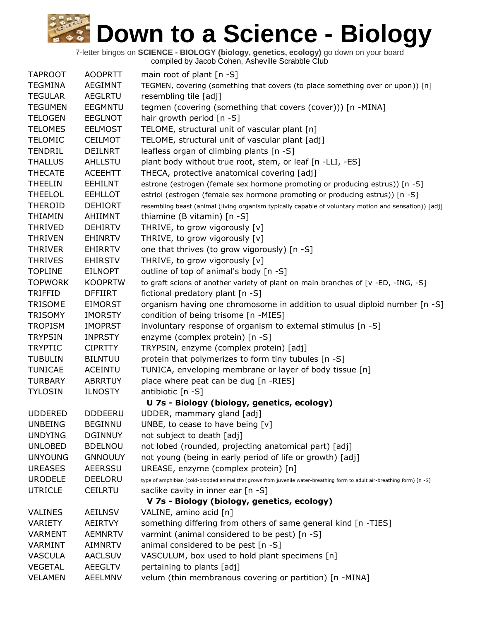7-letter bingos on **SCIENCE - BIOLOGY (biology, genetics, ecology)** go down on your board

|                |                | compiled by Jacob Cohen, Asheville Scrabble Club                                                                         |
|----------------|----------------|--------------------------------------------------------------------------------------------------------------------------|
| <b>TAPROOT</b> | <b>AOOPRTT</b> | main root of plant $[n - S]$                                                                                             |
| <b>TEGMINA</b> | <b>AEGIMNT</b> | TEGMEN, covering (something that covers (to place something over or upon)) [n]                                           |
| <b>TEGULAR</b> | <b>AEGLRTU</b> | resembling tile [adj]                                                                                                    |
| <b>TEGUMEN</b> | <b>EEGMNTU</b> | tegmen (covering (something that covers (cover))) [n -MINA]                                                              |
| <b>TELOGEN</b> | <b>EEGLNOT</b> | hair growth period [n -S]                                                                                                |
| <b>TELOMES</b> | <b>EELMOST</b> | TELOME, structural unit of vascular plant [n]                                                                            |
| <b>TELOMIC</b> | <b>CEILMOT</b> | TELOME, structural unit of vascular plant [adj]                                                                          |
| <b>TENDRIL</b> | <b>DEILNRT</b> | leafless organ of climbing plants [n -S]                                                                                 |
| <b>THALLUS</b> | <b>AHLLSTU</b> | plant body without true root, stem, or leaf [n -LLI, -ES]                                                                |
| <b>THECATE</b> | <b>ACEEHTT</b> | THECA, protective anatomical covering [adj]                                                                              |
| <b>THEELIN</b> | <b>EEHILNT</b> | estrone (estrogen (female sex hormone promoting or producing estrus)) [n -S]                                             |
| <b>THEELOL</b> | <b>EEHLLOT</b> | estriol (estrogen (female sex hormone promoting or producing estrus)) [n -S]                                             |
| <b>THEROID</b> | <b>DEHIORT</b> | resembling beast (animal (living organism typically capable of voluntary motion and sensation)) [adj]                    |
| THIAMIN        | AHIIMNT        | thiamine (B vitamin) $[n - S]$                                                                                           |
|                |                |                                                                                                                          |
| <b>THRIVED</b> | <b>DEHIRTV</b> | THRIVE, to grow vigorously [v]                                                                                           |
| <b>THRIVEN</b> | <b>EHINRTV</b> | THRIVE, to grow vigorously [v]                                                                                           |
| <b>THRIVER</b> | <b>EHIRRTV</b> | one that thrives (to grow vigorously) [n -S]                                                                             |
| <b>THRIVES</b> | <b>EHIRSTV</b> | THRIVE, to grow vigorously [v]                                                                                           |
| <b>TOPLINE</b> | <b>EILNOPT</b> | outline of top of animal's body [n -S]                                                                                   |
| <b>TOPWORK</b> | <b>KOOPRTW</b> | to graft scions of another variety of plant on main branches of [v -ED, -ING, -S]                                        |
| <b>TRIFFID</b> | <b>DFFIIRT</b> | fictional predatory plant [n -S]                                                                                         |
| <b>TRISOME</b> | <b>EIMORST</b> | organism having one chromosome in addition to usual diploid number [n -S]                                                |
| <b>TRISOMY</b> | <b>IMORSTY</b> | condition of being trisome [n -MIES]                                                                                     |
| <b>TROPISM</b> | <b>IMOPRST</b> | involuntary response of organism to external stimulus [n -S]                                                             |
| <b>TRYPSIN</b> | <b>INPRSTY</b> | enzyme (complex protein) [n -S]                                                                                          |
| <b>TRYPTIC</b> | <b>CIPRTTY</b> | TRYPSIN, enzyme (complex protein) [adj]                                                                                  |
| <b>TUBULIN</b> | <b>BILNTUU</b> | protein that polymerizes to form tiny tubules [n -S]                                                                     |
| <b>TUNICAE</b> | ACEINTU        | TUNICA, enveloping membrane or layer of body tissue [n]                                                                  |
| <b>TURBARY</b> | <b>ABRRTUY</b> | place where peat can be dug [n -RIES]                                                                                    |
| <b>TYLOSIN</b> | <b>ILNOSTY</b> | antibiotic [n -S]                                                                                                        |
|                |                | U 7s - Biology (biology, genetics, ecology)                                                                              |
| <b>UDDERED</b> | <b>DDDEERU</b> | UDDER, mammary gland [adj]                                                                                               |
| <b>UNBEING</b> | <b>BEGINNU</b> | UNBE, to cease to have being $[v]$                                                                                       |
| <b>UNDYING</b> | <b>DGINNUY</b> | not subject to death [adj]                                                                                               |
| <b>UNLOBED</b> | <b>BDELNOU</b> | not lobed (rounded, projecting anatomical part) [adj]                                                                    |
| <b>UNYOUNG</b> | <b>GNNOUUY</b> | not young (being in early period of life or growth) [adj]                                                                |
| <b>UREASES</b> | <b>AEERSSU</b> | UREASE, enzyme (complex protein) [n]                                                                                     |
| <b>URODELE</b> | <b>DEELORU</b> | type of amphibian (cold-blooded animal that grows from juvenile water-breathing form to adult air-breathing form) [n -S] |
| <b>UTRICLE</b> | <b>CEILRTU</b> | saclike cavity in inner ear [n -S]                                                                                       |
|                |                | V 7s - Biology (biology, genetics, ecology)                                                                              |
| <b>VALINES</b> | <b>AEILNSV</b> | VALINE, amino acid [n]                                                                                                   |
| VARIETY        | AEIRTVY        | something differing from others of same general kind [n -TIES]                                                           |
| VARMENT        | AEMNRTV        | varmint (animal considered to be pest) [n -S]                                                                            |
| VARMINT        | <b>AIMNRTV</b> | animal considered to be pest [n -S]                                                                                      |
| <b>VASCULA</b> | <b>AACLSUV</b> | VASCULUM, box used to hold plant specimens [n]                                                                           |
| <b>VEGETAL</b> | <b>AEEGLTV</b> | pertaining to plants [adj]                                                                                               |
| <b>VELAMEN</b> | <b>AEELMNV</b> | velum (thin membranous covering or partition) [n -MINA]                                                                  |
|                |                |                                                                                                                          |